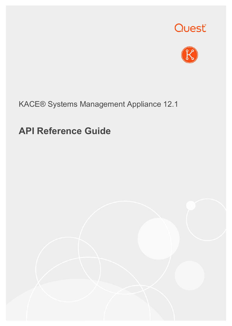



# KACE® Systems Management Appliance 12.1

# **API Reference Guide**

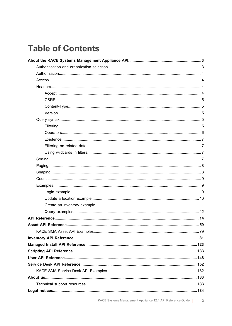# **Table of Contents**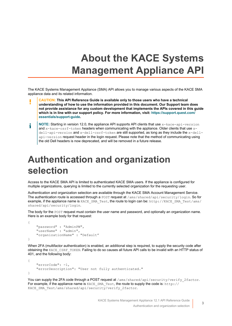# **About the KACE Systems Management Appliance API**

<span id="page-2-0"></span>The KACE Systems Management Appliance (SMA) API allows you to manage various aspects of the KACE SMA appliance data and its related information.

- **CAUTION: This API Reference Guide is available only to those users who have a technical understanding of how to use the information provided in this document. Our Support team does not provide assistance for any custom development that implements the APIs covered in this guide which is in line with our support policy. For more information, visit: [https://support.quest.com/](https://support.quest.com/essentials/support-guide) [essentials/support-guide](https://support.quest.com/essentials/support-guide).**
- **NOTE: Starting in version 12.0, the appliance API supports API clients that use x-kace-api-version** i and  $x$ -kace-csrf-token headers when communicating with the appliance. Older clients that use  $x$ dell-api-version and x-dell-csrf-token are still supported, as long as they include the x-dellapi-version request header in the login request. Please note that the method of communicating using the old Dell headers is now deprecated, and will be removed in a future release.

# <span id="page-2-1"></span>**Authentication and organization selection**

Access to the KACE SMA API is limited to authenticated KACE SMA users. If the appliance is configured for multiple organizations, querying is limited to the currently selected organization for the requesting user.

Authentication and organization selection are available through the KACE SMA Account Management Service. The authentication route is accessed through a POST request at /ams/shared/api/security/login. So for example, if the appliance name is KACE\_SMA\_Test, the route to login can be: http://KACE\_SMA\_Test/ams/ shared/api/security/login.

The body for the POST request must contain the user name and password, and optionally an organization name. Here is an example body for that request:

```
{
     "password" : "AdminPW",
     "userName" : "admin",
     "organizationName" : "Default"
}
```
When 2FA (multifactor authentication) is enabled, an additional step is required, to supply the security code after obtaining the KACE\_CSRF\_TOKEN. Failing to do so causes all future API calls to be invalid with an HTTP status of 401, and the following body:

```
{
     "errorCode": -1,
     "errorDescription": "User not fully authenticated."
}
```
You can supply the 2FA code through a POST request at /ams/shared/api/security/verify 2factor. For example, if the appliance name is KACE\_SMA\_Test, the route to supply the code is: http:// KACE SMA Test/ams/shared/api/security/verify 2factor.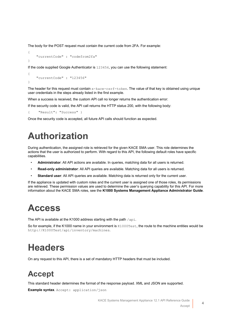The body for the POST request must contain the current code from 2FA. For example:

```
{
     "currentCode" : "codefrom2fa"
}
```
If the code supplied Google Authenticator is 123456, you can use the following statement:

```
{
     "currentCode" : "123456"
}
```
The header for this request must contain x-kace-csrf-token. The value of that key is obtained using unique user credentials in the steps already listed in the first example.

When a success is received, the custom API call no longer returns the authentication error:

If the security code is valid, the API call returns the HTTP status 200, with the following body:

{ "Result": "Success" }

Once the security code is accepted, all future API calls should function as expected.

# <span id="page-3-0"></span>**Authorization**

During authentication, the assigned role is retrieved for the given KACE SMA user. This role determines the actions that the user is authorized to perform. With regard to this API, the following default roles have specific capabilities.

- **Administrator**: All API actions are available. In queries, matching data for all users is returned.
- **Read-only administrator**: All API queries are available. Matching data for all users is returned.
- **Standard user**: All API queries are available. Matching data is returned only for the current user.

If the appliance is updated with custom roles and the current user is assigned one of those roles, its permissions are retrieved. These permission values are used to determine the user's querying capability for this API. For more information about the KACE SMA roles, see the **K1000 Systems Management Appliance Administrator Guide**.

# <span id="page-3-1"></span>**Access**

The API is available at the K1000 address starting with the path  $/$ api.

So for example, if the K1000 name in your environment is K1000Test, the route to the machine entities would be http://K1000Test/api/inventory/machines.

# <span id="page-3-2"></span>**Headers**

On any request to this API, there is a set of mandatory HTTP headers that must be included.

## <span id="page-3-3"></span>**Accept**

This standard header determines the format of the response payload. XML and JSON are supported.

**Example syntax**. Accept: application/json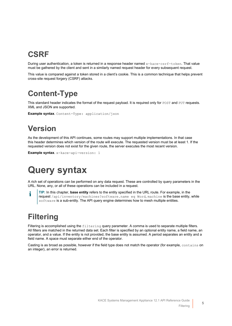# <span id="page-4-0"></span>**CSRF**

During user authentication, a token is returned in a response header named x-kace-csrf-token. That value must be gathered by the client and sent in a similarly named request header for every subsequent request.

This value is compared against a token stored in a client's cookie. This is a common technique that helps prevent cross-site request forgery (CSRF) attacks.

# <span id="page-4-1"></span>**Content-Type**

This standard header indicates the format of the request payload. It is required only for POST and PUT requests. XML and JSON are supported.

**Example syntax**. Content-Type: application/json

# <span id="page-4-2"></span>**Version**

As the development of this API continues, some routes may support multiple implementations. In that case this header determines which version of the route will execute. The requested version must be at least 1. If the requested version does not exist for the given route, the server executes the most recent version.

**Example syntax**. x-kace-api-version: 1

# <span id="page-4-3"></span>**Query syntax**

A rich set of operations can be performed on any data request. These are controlled by query parameters in the URL. None, any, or all of these operations can be included in a request.

**TIP:** In this chapter, **base entity** refers to the entity specified in the URL route. For example, in the i request /api/inventory/machines?software.name eq Word, machine is the base entity, while software is a sub-entity. The API query engine determines how to mesh multiple entities.

# <span id="page-4-4"></span>**Filtering**

Filtering is accomplished using the filtering query parameter. A comma is used to separate multiple filters. All filters are matched in the returned data set. Each filter is specified by an optional entity name, a field name, an operator, and a value. If the entity is not provided, the base entity is assumed. A period separates an entity and a field name. A space must separate either end of the operator.

Casting is as broad as possible, however if the field type does not match the operator (for example, contains on an integer), an error is returned.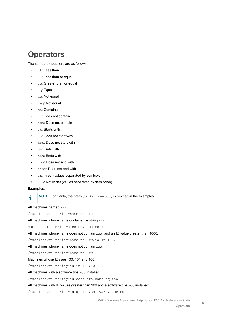### <span id="page-5-0"></span>**Operators**

The standard operators are as follows:

- 1t: Less than
- le: Less than or equal
- ge: Greater than or equal
- eq: Equal
- ne: Not equal
- neq: Not equal
- co: Contains
- nc: Does not contain
- nco: Does not contain
- st: Starts with
- ns: Does not start with
- nst: Does not start with
- en: Ends with
- end: Ends with
- nen: Does not end with
- nend: Does not end with
- in: In set (values separated by semicolon)
- nin: Not In set (values separated by semicolon)

#### **Examples**:

**NOTE:** For clarity, the prefix /api/inventory is omitted in the examples. i

All machines named xxx:

/machines?filtering=name eq xxx

All machines whose name contains the string xxx

machines?filtering=machine.name co xxx

All machines whose name does not contain xxx, and an ID value greater than 1000:

/machines?filtering=name nc xxx, id gt 1000

All machines whose name does not contain xxx:

/machines?filtering=name nc xxx

Machines whose IDs are 100, 101 and 108:

/machines?filtering=id in 100;101;108

All machines with a software title zoo installed:

/machines?filtering=id software.name eq zoo

All machines with ID values greater than 100 and a software title  $z \circ \circ$  installed:

/machines?filtering=id gt 100,software.name eq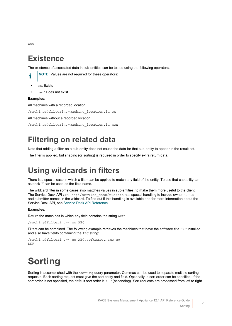### <span id="page-6-0"></span>**Existence**

The existence of associated data in sub-entities can be tested using the following operators.

zoo

- 
- $e^x$  Fxists
- nex: Does not exist

#### **Examples**:

All machines with a recorded location:

/machines?filtering=machine\_location.id ex

**NOTE:** Values are not required for these operators:

All machines without a recorded location:

```
/machines?filtering=machine_location.id nex
```
## <span id="page-6-1"></span>**Filtering on related data**

Note that adding a filter on a sub-entity does not cause the data for that sub-entity to appear in the result set. The filter is applied, but shaping (or sorting) is required in order to specify extra return data.

# <span id="page-6-2"></span>**Using wildcards in filters**

There is a special case in which a filter can be applied to match any field of the entity. To use that capability, an asterisk '\*' can be used as the field name.

The wildcard filter in some cases also matches values in sub-entities, to make them more useful to the client. The Service Desk API GET /api/service\_desk/tickets has special handling to include owner names and submitter names in the wildcard. To find out if this handling is available and for more information about the Service Desk API, see [Service Desk API Reference.](#page-151-0)

#### **Examples**:

Return the machines in which any field contains the string ABC:

/machine?filtering=\* co ABC

Filters can be combined. The following example retrieves the machines that have the software title DEF installed and also have fields containing the ABC string:

```
/machine?filtering=* co ABC, software.name eq
DEF
```
# <span id="page-6-3"></span>**Sorting**

Sorting is accomplished with the sorting query parameter. Commas can be used to separate multiple sorting requests. Each sorting request must give the sort entity and field. Optionally, a sort order can be specified. If the sort order is not specified, the default sort order is ASC (ascending). Sort requests are processed from left to right.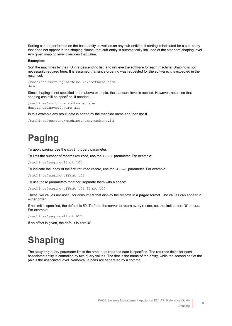Sorting can be performed on the base entity as well as on any sub-entities. If sorting is indicated for a sub-entity that does not appear in the shaping clause, that sub-entity is automatically included at the standard shaping level. Any given shaping level overrides that value.

#### **Examples**:

Sort the machines by their ID in a descending list, and retrieve the software for each machine. Shaping is not necessarily required here. It is assumed that since ordering was requested for the software, it is expected in the result set:

/machines?sorting=machine.id,software.name desc

Since shaping is not specified in the above example, the standard level is applied. However, note also that shaping can still be specified, if needed:

```
/machines?sorting= software.name
desc&shaping=software all
```
In this example any result data is sorted by the machine name and then the ID:

```
/machines?sorting=machine.name,machine.id
```
# <span id="page-7-0"></span>**Paging**

To apply paging, use the paging query parameter.

To limit the number of records returned, use the limit parameter. For example:

/machines?paging=limit 100

To indicate the index of the first returned record, use theoffset parameter. For example:

/machines?paging=offset 101

To use these parameters together, separate them with a space:

/machines?paging=offset 101 limit 100

These two values are useful for consumers that display the records in a **paged** format. The values can appear in either order.

If no limit is specified, the default is 50. To force the server to return every record, set the limit to zero '0' or ALL. For example:

/machines?paging=limit ALL

If no offset is given, the default is zero '0'.

# <span id="page-7-1"></span>**Shaping**

The shaping query parameter limits the amount of returned data is specified. The returned fields for each associated entity is controlled by two query values. The first is the name of the entity, while the second half of the pair is the associated level. Name/value pairs are separated by a comma.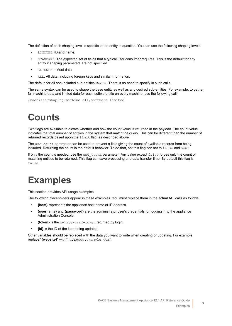The definition of each shaping level is specific to the entity in question. You can use the following shaping levels:

- LIMITED: ID and name.
- STANDARD: The expected set of fields that a typical user consumer requires. This is the default for any entity if shaping parameters are not specified.
- EXTENDED: Most data.
- ALL: All data, including foreign keys and similar information.

The default for all non-included sub-entities isnone. There is no need to specify in such calls.

The same syntax can be used to shape the base entity as well as any desired sub-entities. For example, to gather full machine data and limited data for each software title on every machine, use the following call:

/machines?shaping=machine all,software limited

# <span id="page-8-0"></span>**Counts**

Two flags are available to dictate whether and how the count value is returned in the payload. The count value indicates the total number of entities in the system that match the query. This can be different than the number of returned records based upon the limit flag, as described above.

The use count parameter can be used to prevent a field giving the count of available records from being included. Returning the count is the default behavior. To do that, set this flag can set to false and sent.

If only the count is needed, use the use count parameter. Any value except false forces only the count of matching entities to be returned. This flag can save processing and data transfer time. By default this flag is false.

# <span id="page-8-1"></span>**Examples**

This section provides API usage examples.

The following placeholders appear in these examples. You must replace them in the actual API calls as follows:

- **{host}** represents the appliance host name or IP address.
- **{username}** and **{password}** are the administrator user's credentials for logging in to the appliance Administration Console.
- **{token}** is the x-kace-csrf-token returned by login.
- **{id}** is the ID of the item being updated.

Other variables should be replaced with the data you want to write when creating or updating. For example, replace "**{website}**" with "https://www.example.com".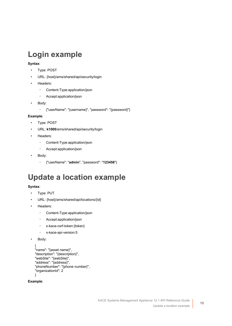# <span id="page-9-0"></span>**Login example**

#### **Syntax**:

- Type: POST
- URL: {host}/ams/shared/api/security/login
- Headers:
	- Content-Type:application/json
	- Accept:application/json
- Body:
	- {"userName": "{username}", "password": "{password}"}

#### **Example**:

- Type: POST
- URL: **k1000**/ams/shared/api/security/login
- Headers:
	- Content-Type:application/json
	- Accept:application/json
- Body:
	- {"userName": "**admin**", "password": "**123456**"}

# <span id="page-9-1"></span>**Update a location example**

#### **Syntax**:

- Type: PUT
- URL: {host}/ams/shared/api/locations/{id}
- Headers:
	- Content-Type:application/json
	- Accept:application/json
	- x-kace-csrf-token:{token}
	- x-kace-api-version:5
- Body:

```
{
"name": "{asset name}",
"description": "{description}",
"webSite": "{webSite}",
"address": "{address}",
"phoneNumber": "{phone number}",
"organizationId": 2
}
```
**Example**: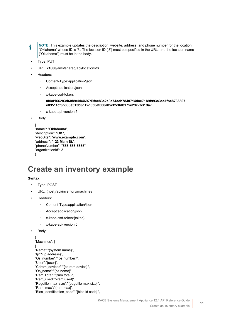- **NOTE:** This example updates the description, website, address, and phone number for the location i "Oklahoma" whose ID is '3'. The location ID ('3') must be specified in the URL, and the location name ("Oklahoma") must be in the body.
- Type: PUT
- URL: **k1000**/ams/shared/api/locations/**3**
- Headers:
	- Content-Type:application/json
	- Accept:application/json
	- x-kace-csrf-token:

**0f0af166283d60b9e0b4697d9fac83a2a0a74aeb7840714dae71b9f993a3aa1fbe8736607 e89511cf6b833e313b0d12d030ef866a85cf2c0db175e29c7b31da7**

◦ x-kace-api-version:5

```
Body:
```

```
{
"name": "Oklahoma",
"description": "OK",
"webSite": "www.example.com",
"address": "123 Main St.",
"phoneNumber": "555-555-5555",
"organizationId": 2
}
```
## <span id="page-10-0"></span>**Create an inventory example**

#### **Syntax**:

- Type: POST
- URL: {host}/api/inventory/machines
- Headers:
	- Content-Type:application/json
	- Accept:application/json
	- x-kace-csrf-token:{token}
	- x-kace-api-version:5

```
Body:
```

```
{
"Machines": [
{
"Name":"{system name}",
"Ip":"{ip address}",
"Os_number":"{os number}",
"User":"{user}",
"Cdrom_devices":"{cd rom device}",
"Os_name":"{os name}",
"Ram Total":"{ram total}",
"Ram_used":"{ram used}",
"Pagefile_max_size":"{pagefile max size}",
"Ram_max":"{ram max}",
"Bios_identification_code":"{bios id code}",
```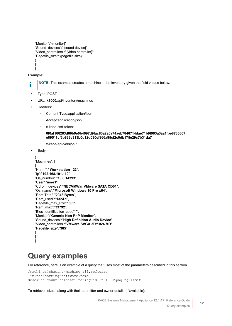```
"Monitor":"{monitor}",
"Sound_devices":"{sound device}",
"Video_controllers":"{video controller}",
"Pagefile_size":"{pagefile size}"
}
]
}
```
#### **Example**:

i

**NOTE:** This example creates a machine in the inventory given the field values below.

- Type: POST
- URL: **k1000**/api/inventory/machines
- Headers:
	- Content-Type:application/json
	- Accept:application/json
	- x-kace-csrf-token:

**0f0af166283d60b9e0b4697d9fac83a2a0a74aeb7840714dae71b9f993a3aa1fbe8736607 e89511cf6b833e313b0d12d030ef866a85cf2c0db175e29c7b31da7**

◦ x-kace-api-version:5

```
Body:
```

```
{
"Machines": [
{
"Name":" Workstation 123",
"Ip":"192.168.101.110",
"Os_number":"10.0.14393",
"User":"user1",
"Cdrom_devices":"NECVMWar VMware SATA CD01",
"Os_name":"Microsoft Windows 10 Pro x64",
"Ram Total":"2048 Bytes",
"Ram_used":"1324.1",
"Pagefile_max_size":"385",
"Ram_max":"33792",
"Bios_identification_code":"",
"Monitor":"Generic Non-PnP Monitor",
"Sound_devices":"High Definition Audio Device",
"Video_controllers":"VMware SVGA 3D:1024 MB",
"Pagefile_size":"385"
}
]
}
```
## <span id="page-11-0"></span>**Query examples**

For reference, here is an example of a query that uses most of the parameters described in this section.

```
/machines?shaping=machine all, software
limited&sorting=software.name
desc&use_count=false&filtering=id lt 1000&paging=limit
1
```
To retrieve tickets, along with their submitter and owner details (if available):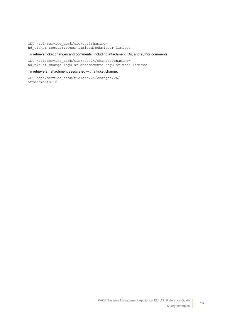GET /api/service\_desk/tickets?shaping= hd\_ticket regular,owner limited,submitter limited

#### To retrieve ticket changes and comments, including attachment IDs, and author comments:

GET /api/service desk/tickets/24/changes?shaping= hd\_ticket\_change regular,attachments regular,user limited

#### To retrieve an attachment associated with a ticket change:

GET /api/service\_desk/tickets/24/changes/26/ attachments/18

**13**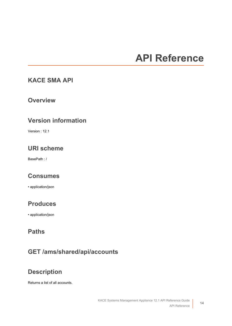# **API Reference**

#### <span id="page-13-1"></span><span id="page-13-0"></span>**KACE SMA API**

#### **Overview**

#### **Version information**

Version : 12.1

#### **URI scheme**

BasePath : /

#### **Consumes**

• application/json

#### **Produces**

• application/json

#### **Paths**

#### **GET /ams/shared/api/accounts**

#### **Description**

Returns a list of all accounts.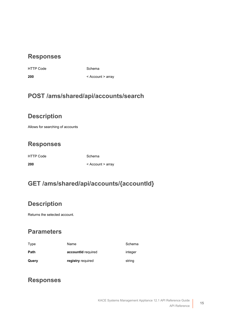#### **Responses**

HTTP Code Schema

**200** < [Account](#page-49-0) > array

#### **POST /ams/shared/api/accounts/search**

#### **Description**

Allows for searching of accounts

### **Responses**

HTTP Code Schema

**200** < [Account](#page-49-0) > array

### **GET /ams/shared/api/accounts/{accountId}**

#### **Description**

Returns the selected account.

#### **Parameters**

| Type  | Name               | Schema  |
|-------|--------------------|---------|
| Path  | accountid required | integer |
| Query | registry required  | string  |

#### **Responses**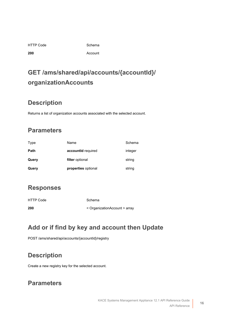|  | <b>HTTP Code</b> |
|--|------------------|
|  |                  |

Schema

**200** [Account](#page-49-0)

## **GET /ams/shared/api/accounts/{accountId}/ organizationAccounts**

#### **Description**

Returns a list of organization accounts associated with the selected account.

### **Parameters**

| Type  | Name                | Schema  |
|-------|---------------------|---------|
| Path  | accountid required  | integer |
| Query | filter optional     | string  |
| Query | properties optional | string  |

#### **Responses**

HTTP Code Schema

**200** < [OrganizationAccount](#page-55-0) > array

### **Add or if find by key and account then Update**

POST /ams/shared/api/accounts/{accountId}/registry

### **Description**

Create a new registry key for the selected account.

#### **Parameters**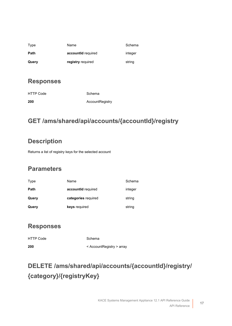| Type  | Name               | Schema  |
|-------|--------------------|---------|
| Path  | accountid required | integer |
| Query | registry required  | string  |

#### **Responses**

| <b>HTTP Code</b> | Schema          |
|------------------|-----------------|
| 200              | AccountRegistry |

### **GET /ams/shared/api/accounts/{accountId}/registry**

#### **Description**

Returns a list of registry keys for the selected account

#### **Parameters**

| Type  | Name                | Schema  |
|-------|---------------------|---------|
| Path  | accountid required  | integer |
| Query | categories required | string  |
| Query | keys required       | string  |

#### **Responses**

HTTP Code Schema **200** < [AccountRegistry](#page-50-0) > array

# **DELETE /ams/shared/api/accounts/{accountId}/registry/ {category}/{registryKey}**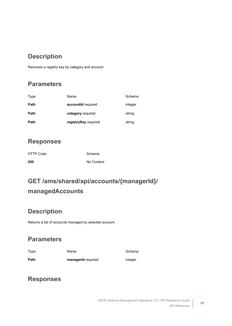#### **Description**

Removes a registry key by category and account

#### **Parameters**

| Type | Name                 | Schema  |
|------|----------------------|---------|
| Path | accountid required   | integer |
| Path | category required    | string  |
| Path | registryKey required | string  |

#### **Responses**

| HTTP Code | Schema     |
|-----------|------------|
| 200       | No Content |

# **GET /ams/shared/api/accounts/{managerId}/ managedAccounts**

#### **Description**

Returns a list of accounts managed by selected account

#### **Parameters**

| <b>Type</b> | Name | Schema |
|-------------|------|--------|
|             |      |        |

**Path managerId** required **integer** 

#### **Responses**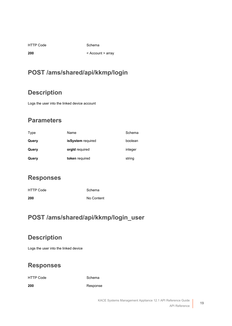HTTP Code Schema

**200** < [Account](#page-49-0) > array

#### **POST /ams/shared/api/kkmp/login**

#### **Description**

Logs the user into the linked device account

#### **Parameters**

| Type  | Name              | Schema  |
|-------|-------------------|---------|
| Query | isSystem required | boolean |
| Query | orgld required    | integer |
| Query | token required    | string  |

#### **Responses**

| <b>HTTP Code</b> | Schema     |
|------------------|------------|
| 200              | No Content |

#### **POST /ams/shared/api/kkmp/login\_user**

#### **Description**

Logs the user into the linked device

#### **Responses**

HTTP Code Schema

**200** [Response](#page-13-1)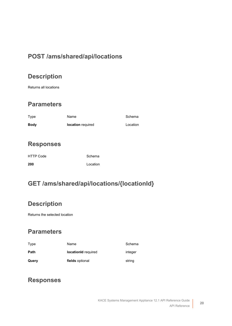#### **POST /ams/shared/api/locations**

#### **Description**

Returns all locations

#### **Parameters**

| Type        | Name              | Schema   |
|-------------|-------------------|----------|
| <b>Body</b> | location required | Location |

#### **Responses**

| <b>HTTP Code</b> | Schema   |
|------------------|----------|
| 200              | Location |

#### **GET /ams/shared/api/locations/{locationId}**

#### **Description**

Returns the selected location

#### **Parameters**

| Type  | Name                | Schema  |
|-------|---------------------|---------|
| Path  | locationId required | integer |
| Query | fields optional     | string  |

#### **Responses**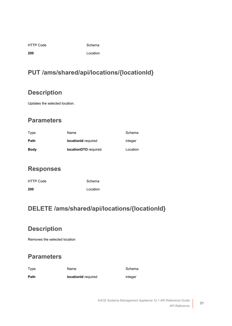Schema

**200** [Location](#page-53-0)

### **PUT /ams/shared/api/locations/{locationId}**

### **Description**

Updates the selected location.

### **Parameters**

| Type        | Name                        | Schema   |
|-------------|-----------------------------|----------|
| Path        | <b>locationId</b> required  | integer  |
| <b>Body</b> | <b>locationDTO</b> required | Location |

#### **Responses**

| <b>HTTP Code</b> | Schema   |
|------------------|----------|
| 200              | Location |

### **DELETE /ams/shared/api/locations/{locationId}**

### **Description**

Removes the selected location

#### **Parameters**

| Type | Name                | Schema  |
|------|---------------------|---------|
| Path | locationId required | integer |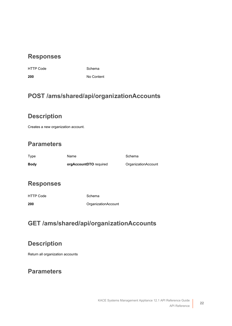#### **Responses**

HTTP Code Schema

**200** No Content

#### **POST /ams/shared/api/organizationAccounts**

#### **Description**

Creates a new organization account.

#### **Parameters**

| Type | Name                   | Schema              |
|------|------------------------|---------------------|
| Bodv | orgAccountDTO required | OrganizationAccount |

#### **Responses**

HTTP Code Schema

**200** [OrganizationAccount](#page-55-0)

#### **GET /ams/shared/api/organizationAccounts**

#### **Description**

Return all organization accounts

#### **Parameters**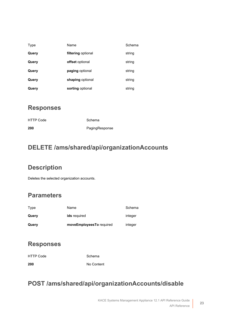| Type  | Name               | Schema |
|-------|--------------------|--------|
| Query | filtering optional | string |
| Query | offset optional    | string |
| Query | paging optional    | string |
| Query | shaping optional   | string |
| Query | sorting optional   | string |

#### **Responses**

| <b>HTTP Code</b> | Schema         |
|------------------|----------------|
| 200              | PagingResponse |

#### **DELETE /ams/shared/api/organizationAccounts**

#### **Description**

Deletes the selected organization accounts.

#### **Parameters**

| Type  | Name                     | Schema  |
|-------|--------------------------|---------|
| Query | <b>ids</b> required      | integer |
| Query | moveEmployeesTo required | integer |

#### **Responses**

| HTTP Code | Schema     |
|-----------|------------|
| 200       | No Content |

#### **POST /ams/shared/api/organizationAccounts/disable**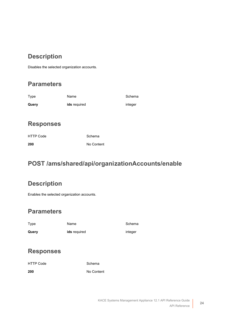#### **Description**

Disables the selected organization accounts.

#### **Parameters**

| Type  | Name                | Schema  |
|-------|---------------------|---------|
| Query | <b>ids</b> required | integer |

#### **Responses**

| <b>HTTP Code</b> | Schema     |
|------------------|------------|
| 200              | No Content |

#### **POST /ams/shared/api/organizationAccounts/enable**

#### **Description**

Enables the selected organization accounts.

#### **Parameters**

| Type  | Name                | Schema  |
|-------|---------------------|---------|
| Query | <b>ids</b> required | integer |

#### **Responses**

| <b>HTTP Code</b> | Schema     |
|------------------|------------|
| 200              | No Content |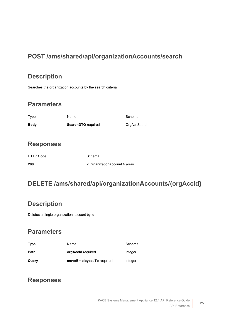#### **POST /ams/shared/api/organizationAccounts/search**

#### **Description**

Searches the organization accounts by the search criteria

#### **Parameters**

| Type        | Name                      | Schema       |
|-------------|---------------------------|--------------|
| <b>Body</b> | <b>SearchDTO</b> required | OrgAccSearch |

#### **Responses**

| <b>HTTP Code</b> | Schema                        |
|------------------|-------------------------------|
| 200              | < OrganizationAccount > array |

#### **DELETE /ams/shared/api/organizationAccounts/{orgAccId}**

#### **Description**

Deletes a single organization account by id

#### **Parameters**

| Query | moveEmployeesTo required | integer |
|-------|--------------------------|---------|
| Path  | orgAccId required        | integer |
| Type  | Name                     | Schema  |

#### **Responses**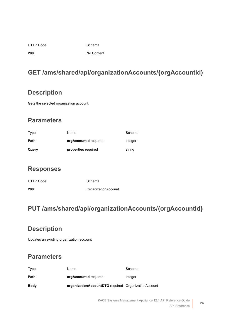|  | <b>HTTP Code</b> |
|--|------------------|
|  |                  |

Schema

**200** No Content

### **GET /ams/shared/api/organizationAccounts/{orgAccountId}**

#### **Description**

Gets the selected organization account.

#### **Parameters**

| Type        | Name                  | Schema  |
|-------------|-----------------------|---------|
| <b>Path</b> | orgAccountId required | integer |
| Query       | properties required   | string  |

#### **Responses**

| <b>HTTP Code</b> | Schema              |
|------------------|---------------------|
| 200              | OrganizationAccount |

#### **PUT /ams/shared/api/organizationAccounts/{orgAccountId}**

#### **Description**

Updates an existing organization account

#### **Parameters**

| Type        | Name                                                | Schema  |
|-------------|-----------------------------------------------------|---------|
| Path        | orgAccountId required                               | integer |
| <b>Body</b> | organizationAccountDTO required OrganizationAccount |         |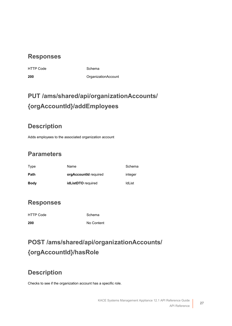#### **Responses**

HTTP Code Schema

**200** [OrganizationAccount](#page-55-0)

## **PUT /ams/shared/api/organizationAccounts/ {orgAccountId}/addEmployees**

#### **Description**

Adds employees to the associated organization account

#### **Parameters**

| Type        | Name                  | Schema  |
|-------------|-----------------------|---------|
| Path        | orgAccountId required | integer |
| <b>Body</b> | idListDTO required    | IdList  |

#### **Responses**

| HTTP Code | Schema     |
|-----------|------------|
| 200       | No Content |

## **POST /ams/shared/api/organizationAccounts/ {orgAccountId}/hasRole**

#### **Description**

Checks to see if the organization account has a specific role.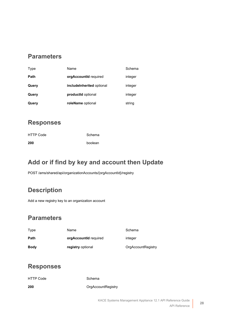#### **Parameters**

| Type  | Name                       | Schema  |
|-------|----------------------------|---------|
| Path  | orgAccountId required      | integer |
| Query | include Inherited optional | integer |
| Query | productid optional         | integer |
| Query | roleName optional          | string  |

#### **Responses**

| HTTP Code | Schema  |
|-----------|---------|
| 200       | boolean |

#### **Add or if find by key and account then Update**

POST /ams/shared/api/organizationAccounts/{orgAccountId}/registry

#### **Description**

Add a new registry key to an organization account

#### **Parameters**

| Type        | Name                         | Schema             |
|-------------|------------------------------|--------------------|
| Path        | <b>orgAccountId</b> required | integer            |
| <b>Body</b> | registry optional            | OrgAccountRegistry |

#### **Responses**

| <b>HTTP Code</b> | Schema             |
|------------------|--------------------|
| 200              | OrgAccountRegistry |

**28**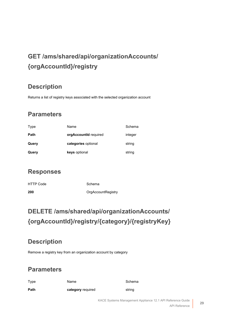# **GET /ams/shared/api/organizationAccounts/ {orgAccountId}/registry**

#### **Description**

Returns a list of registry keys associated with the selected organization account

#### **Parameters**

| Type  | Name                         | Schema  |
|-------|------------------------------|---------|
| Path  | <b>orgAccountId</b> required | integer |
| Query | categories optional          | string  |
| Query | keys optional                | string  |

#### **Responses**

| <b>HTTP Code</b> | Schema             |
|------------------|--------------------|
| 200              | OrgAccountRegistry |

## **DELETE /ams/shared/api/organizationAccounts/ {orgAccountId}/registry/{category}/{registryKey}**

#### **Description**

Remove a registry key from an organization account by category

#### **Parameters**

| Type | Name              | Schema |
|------|-------------------|--------|
| Path | category required | string |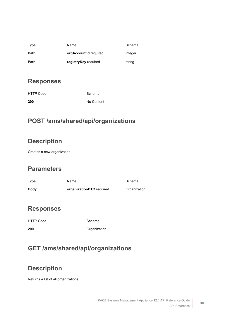| Type | Name                         | Schema  |
|------|------------------------------|---------|
| Path | <b>orgAccountId</b> required | integer |
| Path | registryKey required         | string  |

#### **Responses**

| HTTP Code | Schema     |
|-----------|------------|
| 200       | No Content |

#### **POST /ams/shared/api/organizations**

#### **Description**

Creates a new organization

#### **Parameters**

| Type        | Name                     | Schema       |
|-------------|--------------------------|--------------|
| <b>Body</b> | organizationDTO required | Organization |

#### **Responses**

HTTP Code Schema

**200** [Organization](#page-55-1)

### **GET /ams/shared/api/organizations**

#### **Description**

Returns a list of all organizations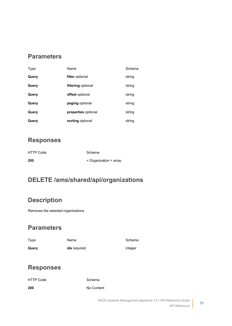#### **Parameters**

| Type  | Name                   | Schema |
|-------|------------------------|--------|
| Query | filter optional        | string |
| Query | filtering optional     | string |
| Query | <b>offset</b> optional | string |
| Query | paging optional        | string |
| Query | properties optional    | string |
| Query | sorting optional       | string |

#### **Responses**

| <b>HTTP Code</b> |  |  |
|------------------|--|--|
| 200              |  |  |

**200** < [Organization](#page-55-1) > array

Schema

#### **DELETE /ams/shared/api/organizations**

#### **Description**

Removes the selected organizations

#### **Parameters**

| Type  | Name                | Schem   |
|-------|---------------------|---------|
| Query | <b>ids</b> required | integer |

Schema

#### **Responses**

HTTP Code Schema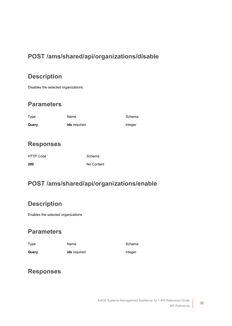#### **POST /ams/shared/api/organizations/disable**

#### **Description**

Disables the selected organizations

#### **Parameters**

| Type  | Name                | Schema  |
|-------|---------------------|---------|
| Query | <b>ids</b> required | integer |

#### **Responses**

| <b>HTTP Code</b> | Schema     |
|------------------|------------|
| 200              | No Content |

#### **POST /ams/shared/api/organizations/enable**

#### **Description**

Enables the selected organizations

#### **Parameters**

| Type  | Name                | Schema  |
|-------|---------------------|---------|
| Query | <b>ids</b> required | integer |

#### **Responses**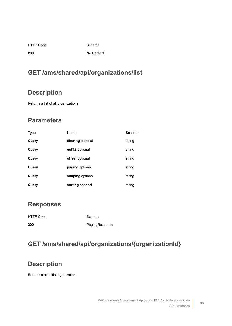HTTP Code Schema

**200** No Content

### **GET /ams/shared/api/organizations/list**

#### **Description**

Returns a list of all organizations

#### **Parameters**

| Type  | Name               | Schema |
|-------|--------------------|--------|
| Query | filtering optional | string |
| Query | getTZ optional     | string |
| Query | offset optional    | string |
| Query | paging optional    | string |
| Query | shaping optional   | string |
| Query | sorting optional   | string |

#### **Responses**

| <b>HTTP Code</b> | Schema         |
|------------------|----------------|
| 200              | PagingResponse |

### **GET /ams/shared/api/organizations/{organizationId}**

#### **Description**

Returns a specific organization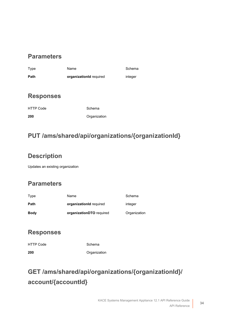#### **Parameters**

Type **Name** Name Schema **Path organizationId** required integer

#### **Responses**

HTTP Code Schema

**200** [Organization](#page-55-1)

### **PUT /ams/shared/api/organizations/{organizationId}**

#### **Description**

Updates an existing organization

#### **Parameters**

| Type        | Name                     | Schema       |
|-------------|--------------------------|--------------|
| Path        | organizationid required  | integer      |
| <b>Body</b> | organizationDTO required | Organization |

#### **Responses**

HTTP Code Schema **200** [Organization](#page-55-1)

# **GET /ams/shared/api/organizations/{organizationId}/ account/{accountId}**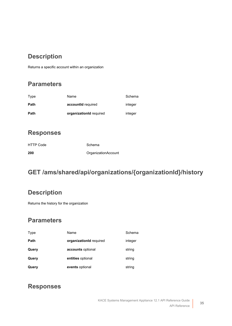#### **Description**

Returns a specific account within an organization

#### **Parameters**

| Type | Name                    | Schema  |
|------|-------------------------|---------|
| Path | accountid required      | integer |
| Path | organizationId required | integer |

#### **Responses**

| <b>HTTP Code</b> | Schema              |
|------------------|---------------------|
| 200              | OrganizationAccount |

### **GET /ams/shared/api/organizations/{organizationId}/history**

#### **Description**

Returns the history for the organization

#### **Parameters**

| Type  | Name                    | Schema  |
|-------|-------------------------|---------|
| Path  | organizationId required | integer |
| Query | accounts optional       | string  |
| Query | entities optional       | string  |
| Query | events optional         | string  |

#### **Responses**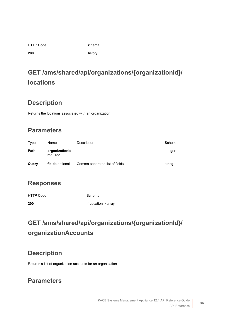|  | <b>HTTP Code</b> |
|--|------------------|
|  |                  |

Schema

**200** [History](#page-51-0)

# **GET /ams/shared/api/organizations/{organizationId}/ locations**

#### **Description**

Returns the locations associated with an organization

#### **Parameters**

| Type  | Name                       | Description                    | Schema  |
|-------|----------------------------|--------------------------------|---------|
| Path  | organizationId<br>required |                                | integer |
| Query | fields optional            | Comma seperated list of fields | string  |

#### **Responses**

| <b>HTTP Code</b> | Schema             |
|------------------|--------------------|
| 200              | < Location > array |

# **GET /ams/shared/api/organizations/{organizationId}/ organizationAccounts**

#### **Description**

Returns a list of organization accounts for an organization

#### **Parameters**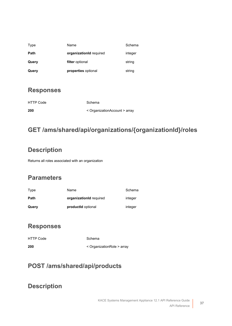| Type  | Name                    | Schema  |
|-------|-------------------------|---------|
| Path  | organizationId required | integer |
| Query | filter optional         | string  |
| Query | properties optional     | string  |

| <b>HTTP Code</b> | Schema                        |
|------------------|-------------------------------|
| 200              | < OrganizationAccount > array |

## **GET /ams/shared/api/organizations/{organizationId}/roles**

## **Description**

Returns all roles associated with an organization

## **Parameters**

| Type  | Name                    | Schema  |
|-------|-------------------------|---------|
| Path  | organizationid required | integer |
| Query | productid optional      | integer |

## **Responses**

| 200              | < OrganizationRole > array |
|------------------|----------------------------|
| <b>HTTP Code</b> | Schema                     |

## **POST /ams/shared/api/products**

#### **Description**

**37**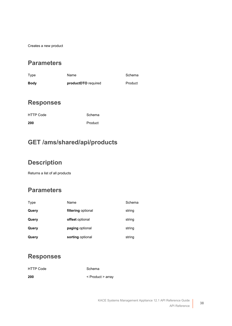Creates a new product

#### **Parameters**

| Type        | Name                | Schema  |
|-------------|---------------------|---------|
| <b>Body</b> | productDTO required | Product |

#### **Responses**

| <b>HTTP Code</b> | Schema  |
|------------------|---------|
| 200              | Product |

#### **GET /ams/shared/api/products**

#### **Description**

Returns a list of all products

#### **Parameters**

| Type  | Name               | Schema |
|-------|--------------------|--------|
| Query | filtering optional | string |
| Query | offset optional    | string |
| Query | paging optional    | string |
| Query | sorting optional   | string |

#### **Responses**

| <b>HTTP Code</b> | Schema            |
|------------------|-------------------|
| 200              | < Product > array |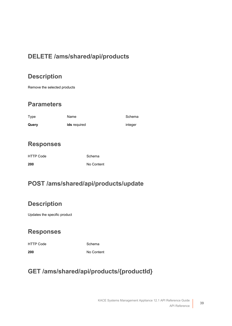## **DELETE /ams/shared/api/products**

## **Description**

Remove the selected products

#### **Parameters**

| Type  | Name                | Schema  |
|-------|---------------------|---------|
| Query | <b>ids</b> required | integer |

#### **Responses**

| <b>HTTP Code</b> | Schema     |
|------------------|------------|
| 200              | No Content |

## **POST /ams/shared/api/products/update**

#### **Description**

Updates the specific product

## **Responses**

HTTP Code Schema

**200** No Content

## **GET /ams/shared/api/products/{productId}**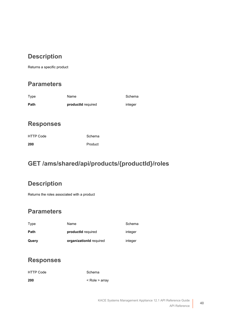## **Description**

Returns a specific product

#### **Parameters**

| Type | Name               | Schema  |
|------|--------------------|---------|
| Path | productid required | integer |

#### **Responses**

| <b>HTTP Code</b> | Schema  |
|------------------|---------|
| 200              | Product |

## **GET /ams/shared/api/products/{productId}/roles**

## **Description**

Returns the roles associated with a product

#### **Parameters**

| Type  | Name                    | Schema  |
|-------|-------------------------|---------|
| Path  | productid required      | integer |
| Query | organizationid required | integer |

#### **Responses**

| <b>HTTP Code</b> | Schema         |
|------------------|----------------|
| 200              | < Role > array |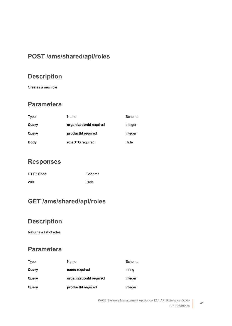## **POST /ams/shared/api/roles**

## **Description**

Creates a new role

#### **Parameters**

| Type        | Name                    | Schema  |
|-------------|-------------------------|---------|
| Query       | organizationId required | integer |
| Query       | productid required      | integer |
| <b>Body</b> | roleDTO required        | Role    |

#### **Responses**

| <b>HTTP Code</b> | Schema |
|------------------|--------|
| 200              | Role   |

## **GET /ams/shared/api/roles**

## **Description**

Returns a list of roles

| Type  | Name                    | Schema  |
|-------|-------------------------|---------|
| Query | name required           | string  |
| Query | organizationId required | integer |
| Query | productid required      | integer |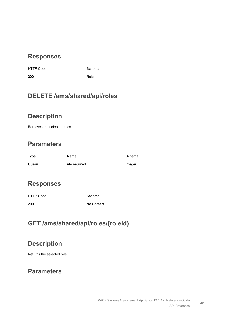de **Schema** 

**200** [Role](#page-56-0)

## **DELETE /ams/shared/api/roles**

## **Description**

Removes the selected roles

## **Parameters**

| Type  | Name                | Schema  |
|-------|---------------------|---------|
| Query | <b>ids</b> required | integer |

## **Responses**

| <b>HTTP Code</b> | Schema     |
|------------------|------------|
| 200              | No Content |

## **GET /ams/shared/api/roles/{roleId}**

#### **Description**

Returns the selected role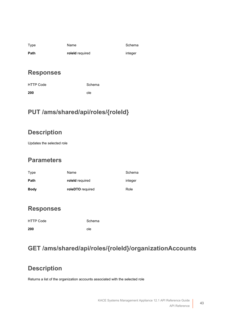| Type | Name            | Schema  |
|------|-----------------|---------|
| Path | roleld required | integer |

| HTTP Code | Schema |
|-----------|--------|
| 200       | ole    |

## **PUT /ams/shared/api/roles/{roleId}**

## **Description**

Updates the selected role

#### **Parameters**

| Type        | Name             | Schema  |
|-------------|------------------|---------|
| Path        | roleld required  | integer |
| <b>Body</b> | roleDTO required | Role    |

#### **Responses**

| <b>HTTP Code</b> | Schema |
|------------------|--------|
| 200              | ole    |

## **GET /ams/shared/api/roles/{roleId}/organizationAccounts**

## **Description**

Returns a list of the organization accounts associated with the selected role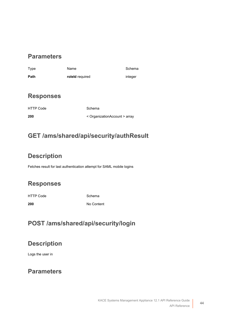#### **Parameters**

| Type             | Name            |                               | Schema  |
|------------------|-----------------|-------------------------------|---------|
| Path             | roleld required |                               | integer |
|                  |                 |                               |         |
| <b>Responses</b> |                 |                               |         |
| <b>HTTP Code</b> |                 | Schema                        |         |
| 200              |                 | < OrganizationAccount > array |         |

#### **GET /ams/shared/api/security/authResult**

#### **Description**

Fetches result for last authentication attempt for SAML mobile logins

#### **Responses**

HTTP Code Schema

**200** No Content

## **POST /ams/shared/api/security/login**

#### **Description**

Logs the user in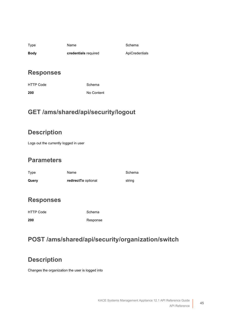| Type        | Name                        | Schema         |
|-------------|-----------------------------|----------------|
| <b>Body</b> | <b>credentials</b> required | ApiCredentials |

| <b>HTTP Code</b> | Schema     |
|------------------|------------|
| 200              | No Content |

## **GET /ams/shared/api/security/logout**

## **Description**

Logs out the currently logged in user

#### **Parameters**

| Type  | Name                | Schema |
|-------|---------------------|--------|
| Query | redirectTo optional | string |

#### **Responses**

| <b>HTTP Code</b> | Schema   |
|------------------|----------|
| 200              | Response |

## **POST /ams/shared/api/security/organization/switch**

## **Description**

Changes the organization the user is logged into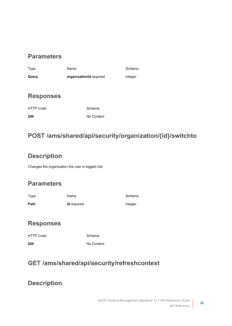#### **Parameters**

| Type  | Name                    | Schema  |
|-------|-------------------------|---------|
| Query | organizationid required | integer |

#### **Responses**

| <b>HTTP Code</b> |  |
|------------------|--|
| 200              |  |

Schema **200** No Content

## **POST /ams/shared/api/security/organization/{id}/switchto**

## **Description**

Changes the organization the user is logged into

## **Parameters**

| Type | Name        | Schema  |
|------|-------------|---------|
| Path | id required | integer |

#### **Responses**

| <b>HTTP Code</b> | Schema     |
|------------------|------------|
| 200              | No Content |

## **GET /ams/shared/api/security/refreshcontext**

#### **Description**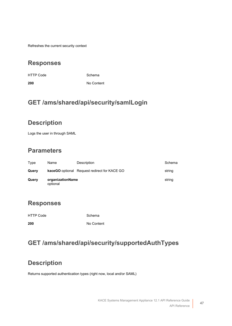Refreshes the current security context

#### **Responses**

HTTP Code Schema

**200** No Content

## **GET /ams/shared/api/security/samlLogin**

#### **Description**

Logs the user in through SAML

#### **Parameters**

| Type  | Name                         | Description                                         | Schema |
|-------|------------------------------|-----------------------------------------------------|--------|
| Query |                              | <b>kaceGO</b> optional Request redirect for KACE GO | string |
| Query | organizationName<br>optional |                                                     | string |

#### **Responses**

| HTTP Code | Schema     |
|-----------|------------|
| 200       | No Content |

#### **GET /ams/shared/api/security/supportedAuthTypes**

#### **Description**

Returns supported authentication types (right now, local and/or SAML)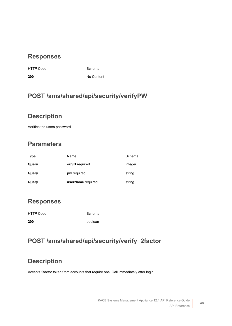HTTP Code Schema

**200** No Content

## **POST /ams/shared/api/security/verifyPW**

## **Description**

Verifies the users password

## **Parameters**

| Type  | Name              | Schema  |
|-------|-------------------|---------|
| Query | orgID required    | integer |
| Query | pw required       | string  |
| Query | userName required | string  |

#### **Responses**

| HTTP Code | Schema  |
|-----------|---------|
| 200       | boolean |

## **POST /ams/shared/api/security/verify\_2factor**

## **Description**

Accepts 2factor token from accounts that require one. Call immediately after login.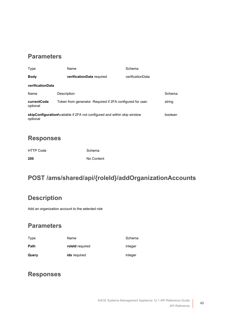#### **Parameters**

<span id="page-48-0"></span>

| Type                                                                                        | Name                                                       | Schema           |         |
|---------------------------------------------------------------------------------------------|------------------------------------------------------------|------------------|---------|
| <b>Body</b>                                                                                 | verificationData required                                  | verificationData |         |
| verificationData                                                                            |                                                            |                  |         |
| Name                                                                                        | Description                                                |                  | Schema  |
| currentCode<br>optional                                                                     | Token from generator. Required if 2FA configured for user. |                  | string  |
| <b>skipConfiguration</b> Available if 2FA not configured and within skip window<br>optional |                                                            |                  | boolean |

#### **Responses**

| <b>HTTP Code</b> | Schema     |
|------------------|------------|
| 200              | No Content |

## **POST /ams/shared/api/{roleId}/addOrganizationAccounts**

#### **Description**

Add an organization account to the selected role

#### **Parameters**

| Type  | Name            | Schema  |
|-------|-----------------|---------|
| Path  | roleld required | integer |
| Query | ids required    | integer |

#### **Responses**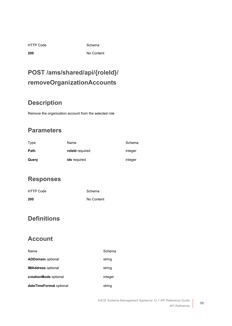HTTP Code Schema

**200** No Content

## **POST /ams/shared/api/{roleId}/ removeOrganizationAccounts**

## **Description**

Remove the organization account from the selected role

## **Parameters**

| Type  | Name            | Schema  |
|-------|-----------------|---------|
| Path  | roleld required | integer |
| Query | ids required    | integer |

#### **Responses**

| <b>HTTP Code</b> | Schema     |
|------------------|------------|
| 200              | No Content |

#### **Definitions**

#### <span id="page-49-0"></span>**Account**

| Name                      | Schema  |
|---------------------------|---------|
| <b>ADDomain optional</b>  | string  |
| <b>IMAddress</b> optional | string  |
| creationMode optional     | integer |
| dateTimeFormat optional   | string  |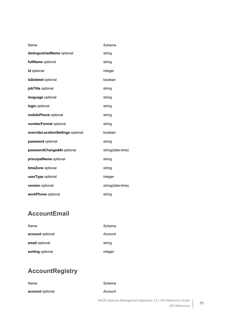| Name                              | Schema            |
|-----------------------------------|-------------------|
| distinguishedName optional        | string            |
| fullName optional                 | string            |
| id optional                       | integer           |
| isDeleted optional                | boolean           |
| jobTitle optional                 | string            |
| language optional                 | string            |
| login optional                    | string            |
| mobilePhone optional              | string            |
| numberFormat optional             | string            |
| overrideLocationSettings optional | boolean           |
| password optional                 | string            |
| passwordChangedAt optional        | string(date-time) |
| principalName optional            | string            |
| timeZone optional                 | string            |
| userType optional                 | integer           |
| version optional                  | string(date-time) |
| workPhone optional                | string            |

## **AccountEmail**

| Name             | Schema  |
|------------------|---------|
| account optional | Account |
| email optional   | string  |
| sorting optional | integer |

# **AccountRegistry**

| Name             | Schema                                                     |  |  |
|------------------|------------------------------------------------------------|--|--|
| account optional | Account                                                    |  |  |
|                  | KACE Systems Management Appliance 12.1 API Reference Guide |  |  |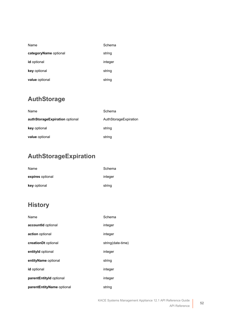| Name                  | Schema  |
|-----------------------|---------|
| categoryName optional | string  |
| <b>id</b> optional    | integer |
| key optional          | string  |
| value optional        | string  |

## **AuthStorage**

| Name                           | Schema                |
|--------------------------------|-----------------------|
| authStorageExpiration optional | AuthStorageExpiration |
| key optional                   | string                |
| value optional                 | string                |

## <span id="page-51-0"></span>**AuthStorageExpiration**

| Name             | Schema  |
|------------------|---------|
| expires optional | integer |
| key optional     | string  |

## <span id="page-51-1"></span>**History**

| Name                      | Schema            |
|---------------------------|-------------------|
| accountId optional        | integer           |
| action optional           | integer           |
| creationDt optional       | string(date-time) |
| entityId optional         | integer           |
| entityName optional       | string            |
| id optional               | integer           |
| parentEntityId optional   | integer           |
| parentEntityName optional | string            |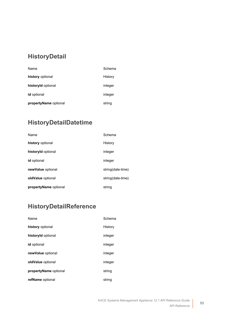## **HistoryDetail**

| Name                  | Schema  |
|-----------------------|---------|
| history optional      | History |
| historyld optional    | integer |
| id optional           | integer |
| propertyName optional | string  |

## **HistoryDetailDatetime**

| Name                  | Schema            |
|-----------------------|-------------------|
| history optional      | History           |
| historyld optional    | integer           |
| <b>id</b> optional    | integer           |
| newValue optional     | string(date-time) |
| oldValue optional     | string(date-time) |
| propertyName optional | string            |

## **HistoryDetailReference**

| Name                  | Schema  |
|-----------------------|---------|
| history optional      | History |
| historyld optional    | integer |
| <b>id</b> optional    | integer |
| newValue optional     | integer |
| oldValue optional     | integer |
| propertyName optional | string  |
| refName optional      | string  |

**53**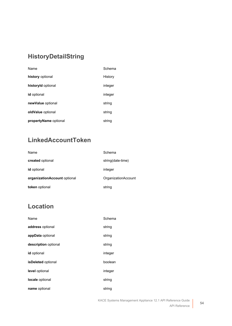## **HistoryDetailString**

| Name                  | Schema  |
|-----------------------|---------|
| history optional      | History |
| historyld optional    | integer |
| <b>id</b> optional    | integer |
| newValue optional     | string  |
| oldValue optional     | string  |
| propertyName optional | string  |

## **LinkedAccountToken**

| Name                         | Schema              |
|------------------------------|---------------------|
| created optional             | string(date-time)   |
| <b>id</b> optional           | integer             |
| organizationAccount optional | OrganizationAccount |
| token optional               | string              |

## <span id="page-53-0"></span>**Location**

| Name                      | Schema  |
|---------------------------|---------|
| address optional          | string  |
| appData optional          | string  |
| description optional      | string  |
| <b>id</b> optional        | integer |
| <b>isDeleted</b> optional | boolean |
| level optional            | integer |
| locale optional           | string  |
| name optional             | string  |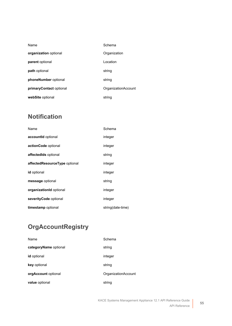| Name                    | Schema                     |
|-------------------------|----------------------------|
| organization optional   | Organization               |
| parent optional         | Location                   |
| path optional           | string                     |
| phoneNumber optional    | string                     |
| primaryContact optional | <b>OrganizationAccount</b> |
| webSite optional        | string                     |

## **Notification**

| Name                          | Schema            |
|-------------------------------|-------------------|
| accountId optional            | integer           |
| actionCode optional           | integer           |
| affectedIds optional          | string            |
| affectedResourceType optional | integer           |
| id optional                   | integer           |
| message optional              | string            |
| organizationId optional       | integer           |
| severityCode optional         | integer           |
| timestamp optional            | string(date-time) |

## **OrgAccountRegistry**

| Name                  | Schema              |
|-----------------------|---------------------|
| categoryName optional | string              |
| <b>id</b> optional    | integer             |
| key optional          | string              |
| orgAccount optional   | OrganizationAccount |
| value optional        | string              |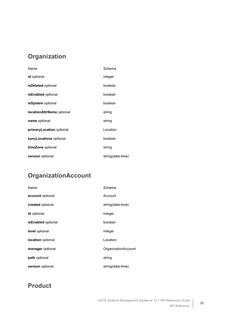## <span id="page-55-2"></span>**Organization**

| Name                             | Schema            |
|----------------------------------|-------------------|
| <b>id</b> optional               | integer           |
| <b>isDeleted</b> optional        | boolean           |
| <b>isEnabled</b> optional        | boolean           |
| <b>isSystem</b> optional         | boolean           |
| <b>locationAttrName</b> optional | string            |
| name optional                    | string            |
| primaryLocation optional         | Location          |
| syncLocations optional           | boolean           |
| timeZone optional                | string            |
| version optional                 | string(date-time) |

## <span id="page-55-0"></span>**OrganizationAccount**

| Name                    | Schema              |
|-------------------------|---------------------|
| account optional        | Account             |
| created optional        | string(date-time)   |
| id optional             | integer             |
| isEnabled optional      | boolean             |
| level optional          | integer             |
| location optional       | Location            |
| manager optional        | OrganizationAccount |
| path optional           | string              |
| <b>version</b> optional | string(date-time)   |

## <span id="page-55-1"></span>**Product**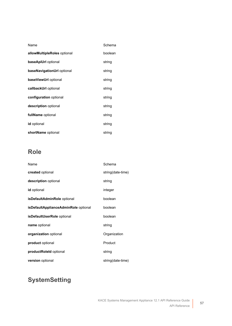| Name                        | Schema  |
|-----------------------------|---------|
| allowMultipleRoles optional | boolean |
| baseApiUrl optional         | string  |
| baseNavigationUrl optional  | string  |
| baseViewUrl optional        | string  |
| callbackUrl optional        | string  |
| configuration optional      | string  |
| description optional        | string  |
| fullName optional           | string  |
| id optional                 | string  |
| shortName optional          | string  |

## <span id="page-56-0"></span>**Role**

| Name                                 | Schema            |
|--------------------------------------|-------------------|
| created optional                     | string(date-time) |
| description optional                 | string            |
| id optional                          | integer           |
| isDefaultAdminRole optional          | boolean           |
| isDefaultApplianceAdminRole optional | boolean           |
| isDefaultUserRole optional           | boolean           |
| name optional                        | string            |
| organization optional                | Organization      |
| product optional                     | Product           |
| productRoleld optional               | string            |
| version optional                     | string(date-time) |

## **SystemSetting**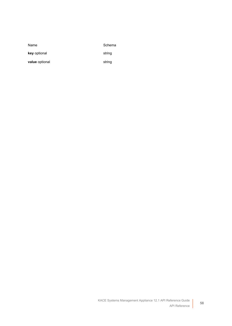Name Schema

**key** optional string

value optional string

KACE Systems Management Appliance 12.1 API Reference Guide API Reference

**58**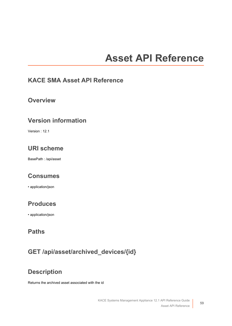# **Asset API Reference**

#### **KACE SMA Asset API Reference**

#### **Overview**

#### **Version information**

Version : 12.1

## **URI scheme**

BasePath : /api/asset

#### **Consumes**

• application/json

#### **Produces**

• application/json

#### **Paths**

## **GET /api/asset/archived\_devices/{id}**

## **Description**

Returns the archived asset associated with the id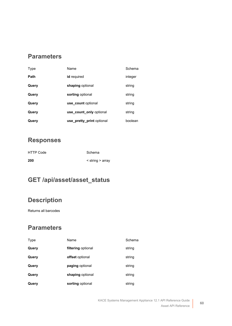#### **Parameters**

| Type  | Name                      | Schema  |
|-------|---------------------------|---------|
| Path  | id required               | integer |
| Query | shaping optional          | string  |
| Query | sorting optional          | string  |
| Query | use count optional        | string  |
| Query | use_count_only optional   | string  |
| Query | use pretty print optional | boolean |

#### **Responses**

| <b>HTTP Code</b> | Schema           |
|------------------|------------------|
| 200              | < string > array |

## **GET /api/asset/asset\_status**

## **Description**

Returns all barcodes

| Type  | Name               | Schema |
|-------|--------------------|--------|
| Query | filtering optional | string |
| Query | offset optional    | string |
| Query | paging optional    | string |
| Query | shaping optional   | string |
| Query | sorting optional   | string |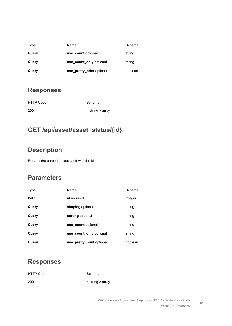| Type  | Name                      | Schema  |
|-------|---------------------------|---------|
| Query | use count optional        | string  |
| Query | use_count_only optional   | string  |
| Query | use pretty print optional | boolean |

| <b>HTTP Code</b> | Schema                   |
|------------------|--------------------------|
| 200              | $\le$ string $\ge$ array |

## **GET /api/asset/asset\_status/{id}**

## **Description**

Returns the barcode associated with the id

## **Parameters**

| Type  | Name                      | Schema  |
|-------|---------------------------|---------|
| Path  | id required               | integer |
| Query | shaping optional          | string  |
| Query | sorting optional          | string  |
| Query | use count optional        | string  |
| Query | use count only optional   | string  |
| Query | use_pretty_print optional | boolean |

#### **Responses**

| <b>HTTP Code</b> | Schema                   |
|------------------|--------------------------|
| 200              | $\le$ string $\ge$ array |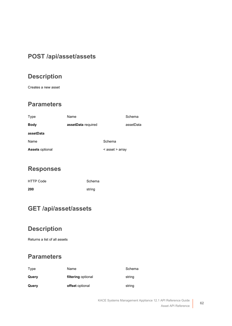## **POST /api/asset/assets**

## **Description**

Creates a new asset

#### **Parameters**

<span id="page-61-0"></span>

| Type                   | Name               |                 | Schema    |
|------------------------|--------------------|-----------------|-----------|
| <b>Body</b>            | assetData required |                 | assetData |
| assetData              |                    |                 |           |
| Name                   |                    | Schema          |           |
| <b>Assets optional</b> |                    | < asset > array |           |

#### **Responses**

| <b>HTTP Code</b> | Schema |
|------------------|--------|
| 200              | string |

## **GET /api/asset/assets**

## **Description**

Returns a list of all assets

| Type  | Name               | Schema |
|-------|--------------------|--------|
| Query | filtering optional | string |
| Query | offset optional    | string |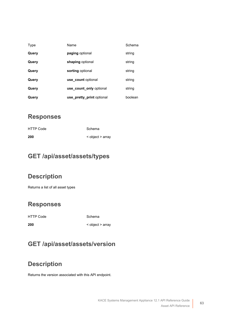| Type  | Name                      | Schema  |
|-------|---------------------------|---------|
| Query | paging optional           | string  |
| Query | shaping optional          | string  |
| Query | sorting optional          | string  |
| Query | use count optional        | string  |
| Query | use count only optional   | string  |
| Query | use_pretty_print optional | boolean |

| <b>HTTP Code</b> | Schema           |
|------------------|------------------|
| 200              | < object > array |

#### **GET /api/asset/assets/types**

#### **Description**

Returns a list of all asset types

#### **Responses**

HTTP Code Schema

## **GET /api/asset/assets/version**

**200** < object > array

## **Description**

Returns the version associated with this API endpoint.

**63**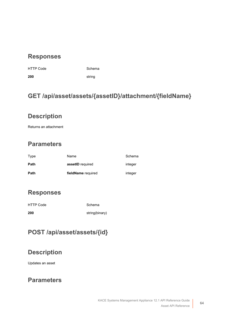HTTP Code Schema

**200** string

## **GET /api/asset/assets/{assetID}/attachment/{fieldName}**

#### **Description**

Returns an attachment

## **Parameters**

| Type | Name               | Schema  |
|------|--------------------|---------|
| Path | assetID required   | integer |
| Path | fieldName required | integer |

#### **Responses**

| <b>HTTP Code</b> | Schema         |
|------------------|----------------|
| 200              | string(binary) |

## **POST /api/asset/assets/{id}**

#### **Description**

Updates an asset

#### **Parameters**

**64**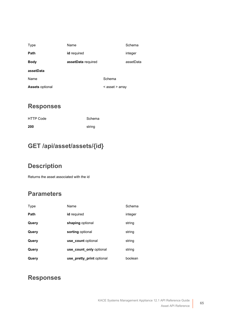<span id="page-64-0"></span>

| Type                   | Name               |                 | Schema    |
|------------------------|--------------------|-----------------|-----------|
| Path                   | id required        |                 | integer   |
| <b>Body</b>            | assetData required |                 | assetData |
| assetData              |                    |                 |           |
| Name                   |                    | Schema          |           |
| <b>Assets optional</b> |                    | < asset > array |           |

| <b>HTTP Code</b> | Schema |
|------------------|--------|
| 200              | string |

## **GET /api/asset/assets/{id}**

## **Description**

Returns the asset associated with the id

#### **Parameters**

| Type  | Name                      | Schema  |
|-------|---------------------------|---------|
| Path  | id required               | integer |
| Query | shaping optional          | string  |
| Query | sorting optional          | string  |
| Query | use count optional        | string  |
| Query | use count only optional   | string  |
| Query | use pretty print optional | boolean |

#### **Responses**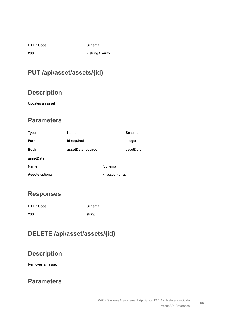|  | <b>HTTP Code</b> |
|--|------------------|
|  |                  |

Schema

**200** < string > array

## **PUT /api/asset/assets/{id}**

## **Description**

Updates an asset

#### **Parameters**

<span id="page-65-0"></span>

| Type                   | Name               |                 | Schema    |
|------------------------|--------------------|-----------------|-----------|
| Path                   | id required        |                 | integer   |
| <b>Body</b>            | assetData required |                 | assetData |
| assetData              |                    |                 |           |
| Name                   |                    | Schema          |           |
| <b>Assets optional</b> |                    | < asset > array |           |

#### **Responses**

| <b>HTTP Code</b> | Schema |
|------------------|--------|
| 200              | string |

## **DELETE /api/asset/assets/{id}**

## **Description**

Removes an asset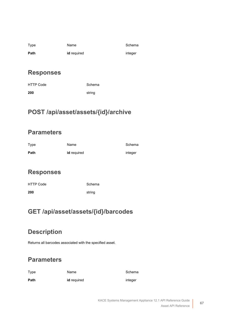| Type | Name               | Schema  |
|------|--------------------|---------|
| Path | <b>id</b> required | integer |

| HTTP Code | Schema |
|-----------|--------|
| 200       | string |

## **POST /api/asset/assets/{id}/archive**

#### **Parameters**

| Type | Name        | Schema  |
|------|-------------|---------|
| Path | id required | integer |

#### **Responses**

| HTTP Code | Schema |
|-----------|--------|
| 200       | string |

## **GET /api/asset/assets/{id}/barcodes**

## **Description**

Returns all barcodes associated with the specified asset.

| Type | Name        | Schema  |
|------|-------------|---------|
| Path | id required | integer |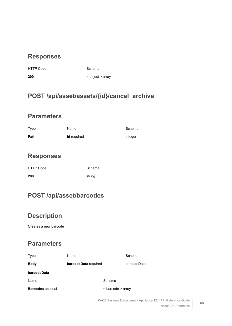HTTP Code Schema

**200** < object > array

## **POST /api/asset/assets/{id}/cancel\_archive**

#### **Parameters**

| Type | Name               | Schema  |
|------|--------------------|---------|
| Path | <b>id</b> required | integer |

#### **Responses**

| <b>HTTP Code</b> | Schema |
|------------------|--------|
| 200              | string |

## **POST /api/asset/barcodes**

## **Description**

Creates a new barcode

#### **Parameters**

<span id="page-67-0"></span>

| Type                     | Name                 |                   | Schema      |
|--------------------------|----------------------|-------------------|-------------|
| <b>Body</b>              | barcodeData required |                   | barcodeData |
| barcodeData              |                      |                   |             |
| Name                     |                      | Schema            |             |
| <b>Barcodes optional</b> |                      | < barcode > array |             |

**68**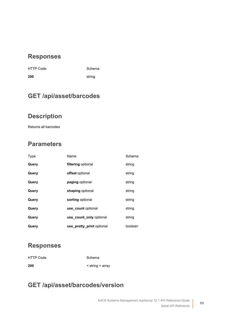| <b>HTTP Code</b> | Scher  |
|------------------|--------|
| 200              | string |

de Schema

## **GET /api/asset/barcodes**

#### **Description**

Returns all barcodes

## **Parameters**

| Type  | Name                      | Schema  |
|-------|---------------------------|---------|
| Query | filtering optional        | string  |
| Query | offset optional           | string  |
| Query | paging optional           | string  |
| Query | shaping optional          | string  |
| Query | sorting optional          | string  |
| Query | use count optional        | string  |
| Query | use count only optional   | string  |
| Query | use_pretty_print optional | boolean |

#### **Responses**

| <b>HTTP Code</b> | Schema                 |
|------------------|------------------------|
| 200              | $\le$ string $>$ array |

## **GET /api/asset/barcodes/version**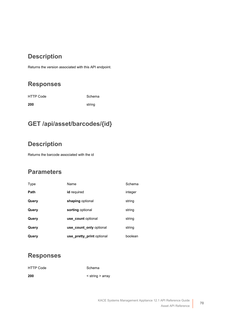## **Description**

Returns the version associated with this API endpoint.

## **Responses**

| <b>HTTP Code</b> | Schema |
|------------------|--------|
| 200              | string |

## **GET /api/asset/barcodes/{id}**

#### **Description**

Returns the barcode associated with the id

#### **Parameters**

| Type  | Name                      | Schema  |
|-------|---------------------------|---------|
| Path  | id required               | integer |
| Query | shaping optional          | string  |
| Query | sorting optional          | string  |
| Query | use count optional        | string  |
| Query | use count only optional   | string  |
| Query | use pretty print optional | boolean |

#### **Responses**

| HTTP Code | Schema                   |
|-----------|--------------------------|
| 200       | $\le$ string $\ge$ array |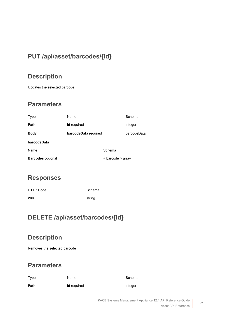## **PUT /api/asset/barcodes/{id}**

## **Description**

Updates the selected barcode

#### **Parameters**

<span id="page-70-0"></span>

| Type                     | Name                        |                   | Schema      |
|--------------------------|-----------------------------|-------------------|-------------|
| Path                     | id required                 |                   | integer     |
| <b>Body</b>              | <b>barcodeData</b> required |                   | barcodeData |
| barcodeData              |                             |                   |             |
| Name                     |                             | Schema            |             |
| <b>Barcodes optional</b> |                             | < barcode > array |             |

#### **Responses**

| <b>HTTP Code</b> | Schema |
|------------------|--------|
| 200              | string |

#### **DELETE /api/asset/barcodes/{id}**

## **Description**

Removes the selected barcode

| Type | Name               | Schema  |
|------|--------------------|---------|
| Path | <b>id</b> required | integer |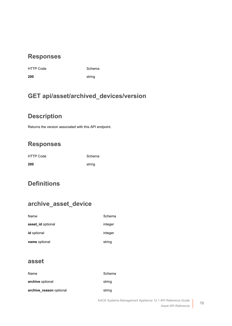de **Schema** 

**200** string

## **GET api/asset/archived\_devices/version**

#### **Description**

Returns the version associated with this API endpoint.

## **Responses**

| <b>HTTP Code</b> | Schema |
|------------------|--------|
| 200              | string |

## **Definitions**

## **archive\_asset\_device**

| Name               | Schema  |
|--------------------|---------|
| asset id optional  | integer |
| <b>id</b> optional | integer |
| name optional      | string  |

#### <span id="page-71-0"></span>**asset**

| Name                    | Schema |
|-------------------------|--------|
| archive optional        | string |
| archive reason optional | string |

**72**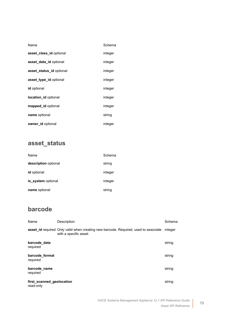| Name                     | Schema  |
|--------------------------|---------|
| asset class id optional  | integer |
| asset data id optional   | integer |
| asset_status_id optional | integer |
| asset_type_id optional   | integer |
| <b>id</b> optional       | integer |
| location_id optional     | integer |
| mapped_id optional       | integer |
| name optional            | string  |
| owner id optional        | integer |

# **asset\_status**

| Name                 | Schema  |
|----------------------|---------|
| description optional | string  |
| <b>id</b> optional   | integer |
| is_system optional   | integer |
| name optional        | string  |

# **barcode**

| Name                                   | Description                                                                                                  | Schema  |
|----------------------------------------|--------------------------------------------------------------------------------------------------------------|---------|
|                                        | asset_id required Only valid when creating new barcode. Required, used to associate<br>with a specific asset | integer |
| barcode data<br>required               |                                                                                                              | string  |
| barcode format<br>required             |                                                                                                              | string  |
| barcode name<br>required               |                                                                                                              | string  |
| first scanned geolocation<br>read-only |                                                                                                              | string  |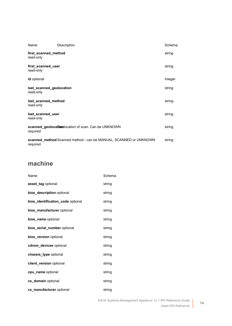| Name                                  | Description                                                       | Schema  |
|---------------------------------------|-------------------------------------------------------------------|---------|
| first scanned method<br>read-only     |                                                                   | string  |
| first scanned user<br>read-only       |                                                                   | string  |
| id optional                           |                                                                   | integer |
| last scanned geolocation<br>read-only |                                                                   | string  |
| last scanned method<br>read-only      |                                                                   | string  |
| last_scanned_user<br>read-only        |                                                                   | string  |
| required                              | scanned_geolocation condets of scan. Can be UNKNOWN               | string  |
| required                              | scanned_method Scanned method - can be MANUAL, SCANNED or UNKNOWN | string  |

# **machine**

| Name                              | Schema |
|-----------------------------------|--------|
| asset tag optional                | string |
| bios_description optional         | string |
| bios_identification_code optional | string |
| bios_manufacturer optional        | string |
| bios_name optional                | string |
| bios_serial_number optional       | string |
| bios version optional             | string |
| cdrom_devices optional            | string |
| chassis type optional             | string |
| client_version optional           | string |
| cpu_name optional                 | string |
| cs_domain optional                | string |
| cs_manufacturer optional          | string |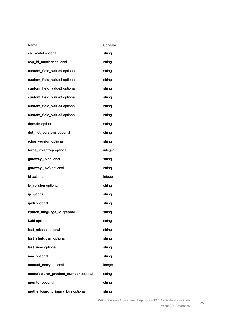| Name                                 | Schema  |
|--------------------------------------|---------|
| cs_model optional                    | string  |
| csp_id_number optional               | string  |
| custom_field_value0 optional         | string  |
| custom_field_value1 optional         | string  |
| custom_field_value2 optional         | string  |
| custom_field_value3 optional         | string  |
| custom_field_value4 optional         | string  |
| custom_field_value5 optional         | string  |
| domain optional                      | string  |
| dot_net_versions optional            | string  |
| edge_version optional                | string  |
| force_inventory optional             | integer |
| gateway_ip optional                  | string  |
| gateway_ipv6 optional                | string  |
| id optional                          | integer |
| ie_version optional                  | string  |
| ip optional                          | string  |
| ipv6 optional                        | string  |
| kpatch_language_id optional          | string  |
| kuid optional                        | string  |
| last_reboot optional                 | string  |
| last_shutdown optional               | string  |
| last_user optional                   | string  |
| mac optional                         | string  |
| manual_entry optional                | integer |
| manufacturer_product_number optional | string  |
| monitor optional                     | string  |
| motherboard_primary_bus optional     | string  |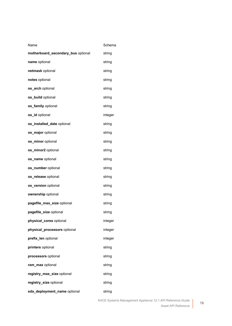| Name                               | Schema  |
|------------------------------------|---------|
| motherboard_secondary_bus optional | string  |
| name optional                      | string  |
| netmask optional                   | string  |
| notes optional                     | string  |
| <b>os_arch</b> optional            | string  |
| os_build optional                  | string  |
| os_family optional                 | string  |
| os_id optional                     | integer |
| os_installed_date optional         | string  |
| os_major optional                  | string  |
| os_minor optional                  | string  |
| os_minor2 optional                 | string  |
| os_name optional                   | string  |
| os_number optional                 | string  |
| os_release optional                | string  |
| os_version optional                | string  |
| ownership optional                 | string  |
| pagefile_max_size optional         | string  |
| pagefile_size optional             | string  |
| physical_cores optional            | integer |
| physical_processors optional       | integer |
| prefix_len optional                | integer |
| printers optional                  | string  |
| processors optional                | string  |
| ram_max optional                   | string  |
| registry_max_size optional         | string  |
| registry_size optional             | string  |
| sda_deployment_name optional       | string  |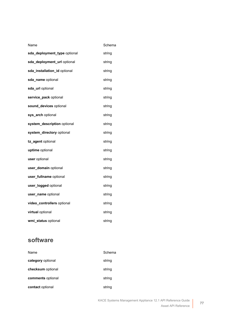| Name                         | Schema |
|------------------------------|--------|
| sda_deployment_type optional | string |
| sda_deployment_url optional  | string |
| sda_installation_id optional | string |
| sda_name optional            | string |
| sda_url optional             | string |
| service_pack optional        | string |
| sound_devices optional       | string |
| sys_arch optional            | string |
| system_description optional  | string |
| system_directory optional    | string |
| tz_agent optional            | string |
| uptime optional              | string |
| user optional                | string |
| user_domain optional         | string |
| user_fullname optional       | string |
| user_logged optional         | string |
| user_name optional           | string |
| video_controllers optional   | string |
| virtual optional             | string |
| wmi_status optional          | string |

# **software**

| Name              | Schema |
|-------------------|--------|
| category optional | string |
| checksum optional | string |
| comments optional | string |
| contact optional  | string |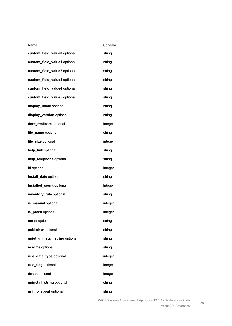| Name                            | Schema  |
|---------------------------------|---------|
| custom_field_value0 optional    | string  |
| custom_field_value1 optional    | string  |
| custom_field_value2 optional    | string  |
| custom_field_value3 optional    | string  |
| custom_field_value4 optional    | string  |
| custom_field_value5 optional    | string  |
| display_name optional           | string  |
| display_version optional        | string  |
| dont_replicate optional         | integer |
| file_name optional              | string  |
| file_size optional              | integer |
| help_link optional              | string  |
| help_telephone optional         | string  |
| id optional                     | integer |
| install_date optional           | string  |
| installed_count optional        | integer |
| inventory_rule optional         | string  |
| is_manual optional              | integer |
| is_patch optional               | integer |
| notes optional                  | string  |
| publisher optional              | string  |
| quiet_uninstall_string optional | string  |
| readme optional                 | string  |
| rule_data_type optional         | integer |
| rule_flag optional              | integer |
| threat optional                 | integer |
| uninstall_string optional       | string  |
| urlinfo_about optional          | string  |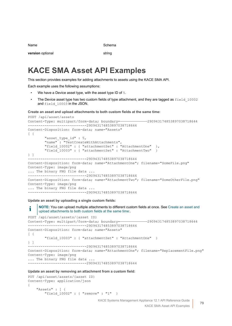Name Schema is a state of the Schema in the Schema is  $\sim$ 

**version** optional string

# **KACE SMA Asset API Examples**

This section provides examples for adding attachments to assets using the KACE SMA API.

Each example uses the following assumptions:

- We have a Device asset type, with the asset type ID of 5.
- The Device asset type has two custom fields of type attachment, and they are tagged as  $field 10002$ and field 10003 in the JSON.

<span id="page-78-0"></span>**Create an asset and upload attachments to both custom fields at the same time:**

```
POST /api/asset/assets
Content-Type: multipart/form-data; boundary=—————————————290943174853897038718644
  ----------------------------290943174853897038718644
Content-Disposition: form-data; name="Assets"
\lceil \cdot \rceil "asset_type_id" : 5,
         "name" : "TestCreateWithAttachments",
        "field 10002" : { "attachmentSet" : "AttachmentOne" },
         "field_10003" : { "attachmentSet" : "AttachmentTwo" }
} ]
        ----------------------------290943174853897038718644
Content-Disposition: form-data; name="AttachmentOne"; filename="SomeFile.png"
Content-Type: image/png
... The binary PNG file data ...
    ----------------------------290943174853897038718644
Content-Disposition: form-data; name="AttachmentTwo"; filename="SomeOtherFile.png"
Content-Type: image/png
... The binary PNG file data ...
   ----------------------------290943174853897038718644
```
**Update an asset by uploading a single custom fields:**

**NOTE:** You can upload multiple attachments to different custom fields at once. See [Create an asset and](#page-78-0) T [upload attachments to both custom fields at the same time:.](#page-78-0)

```
POST /api/asset/assets/{asset ID}
Content-Type: multipart/form-data; boundary=—————————————290943174853897038718644
----------------------------290943174853897038718644
Content-Disposition: form-data; name="Assets"
[ {
         "field_10003" : { "attachmentSet" : "AttachmentOne" }
} ]
    ----------------------------290943174853897038718644
Content-Disposition: form-data; name="AttachmentOne"; filename="ReplacementFile.png"
Content-Type: image/png
... The binary PNG file data ...
    ----------------------------290943174853897038718644
```
**Update an asset by removing an attachment from a custom field:**

```
PUT /api/asset/assets/{asset ID}
Content-Type: application/json
{
     "Assets" : [ {
         "field_10002" : { "remove" : "1" }
```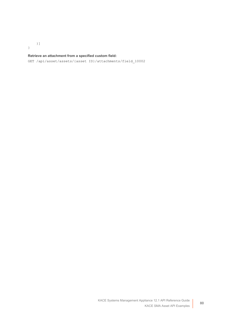}

}]

#### **Retrieve an attachment from a specified custom field:**

GET /api/asset/assets/{asset ID}/attachments/field\_10002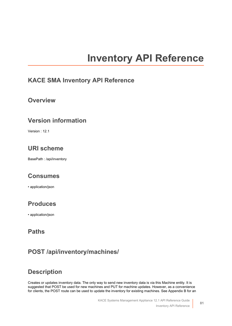# **Inventory API Reference**

#### **KACE SMA Inventory API Reference**

#### **Overview**

#### **Version information**

Version : 12.1

# **URI scheme**

BasePath : /api/inventory

### **Consumes**

• application/json

### **Produces**

• application/json

### **Paths**

# **POST /api/inventory/machines/**

# **Description**

Creates or updates inventory data. The only way to send new inventory data is via this Machine entity. It is suggested that POST be used for new machines and PUT for machine updates. However, as a convenience for clients, the POST route can be used to update the inventory for existing machines. See Appendix B for an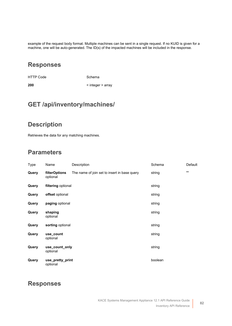example of the request body format. Multiple machines can be sent in a single request. If no KUID is given for a machine, one will be auto-generated. The ID(s) of the impacted machines will be included in the response.

#### **Responses**

HTTP Code Schema

**200** < integer > array

#### **GET /api/inventory/machines/**

#### **Description**

Retrieves the data for any matching machines.

#### **Parameters**

| Type  | Name                         | Description                                  | Schema  | Default        |  |
|-------|------------------------------|----------------------------------------------|---------|----------------|--|
| Query | filterOptions<br>optional    | The name of join set to insert in base query | string  | $\blacksquare$ |  |
| Query | filtering optional           |                                              | string  |                |  |
| Query | offset optional              |                                              | string  |                |  |
| Query | paging optional              |                                              | string  |                |  |
| Query | shaping<br>optional          |                                              | string  |                |  |
| Query | sorting optional             |                                              | string  |                |  |
| Query | use count<br>optional        |                                              | string  |                |  |
| Query | use_count_only<br>optional   |                                              | string  |                |  |
| Query | use_pretty_print<br>optional |                                              | boolean |                |  |

#### **Responses**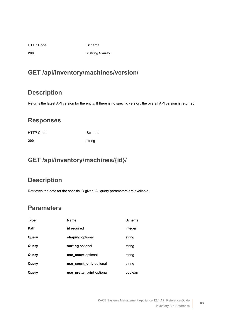HTTP Code Schema

**200** < string > array

# **GET /api/inventory/machines/version/**

# **Description**

Returns the latest API version for the entity. If there is no specific version, the overall API version is returned.

### **Responses**

HTTP Code Schema **200** string

# **GET /api/inventory/machines/{id}/**

# **Description**

Retrieves the data for the specific ID given. All query parameters are available.

| Type        | Name                      | Schema  |
|-------------|---------------------------|---------|
| <b>Path</b> | id required               | integer |
| Query       | shaping optional          | string  |
| Query       | sorting optional          | string  |
| Query       | use count optional        | string  |
| Query       | use count only optional   | string  |
| Query       | use_pretty_print optional | boolean |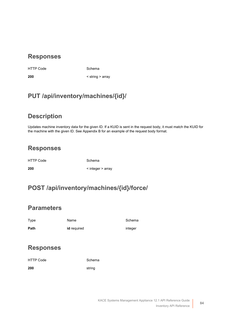HTTP Code Schema

**200** < string > array

# **PUT /api/inventory/machines/{id}/**

#### **Description**

Updates machine inventory data for the given ID. If a KUID is sent in the request body, it must match the KUID for the machine with the given ID. See Appendix B for an example of the request body format.

### **Responses**

HTTP Code Schema

**200** < integer > array

# **POST /api/inventory/machines/{id}/force/**

#### **Parameters**

| Type | Name               | Schema  |
|------|--------------------|---------|
| Path | <b>id</b> required | integer |

#### **Responses**

HTTP Code Schema **200** string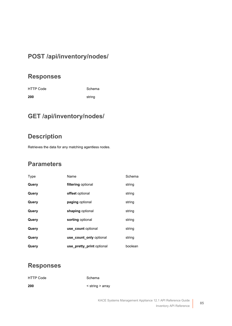### **POST /api/inventory/nodes/**

#### **Responses**

HTTP Code Schema **200** string

# **GET /api/inventory/nodes/**

#### **Description**

Retrieves the data for any matching agentless nodes.

#### **Parameters**

| Type  | Name                      | Schema  |
|-------|---------------------------|---------|
| Query | filtering optional        | string  |
| Query | <b>offset</b> optional    | string  |
| Query | paging optional           | string  |
| Query | shaping optional          | string  |
| Query | sorting optional          | string  |
| Query | use count optional        | string  |
| Query | use count only optional   | string  |
| Query | use_pretty_print optional | boolean |

#### **Responses**

| <b>HTTP Code</b> | Schema                   |
|------------------|--------------------------|
| 200              | $\le$ string $\ge$ array |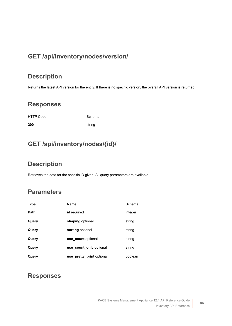# **GET /api/inventory/nodes/version/**

### **Description**

Returns the latest API version for the entity. If there is no specific version, the overall API version is returned.

#### **Responses**

HTTP Code Schema

# **GET /api/inventory/nodes/{id}/**

**200** string

### **Description**

Retrieves the data for the specific ID given. All query parameters are available.

# **Parameters**

| Type  | Name                      | Schema  |
|-------|---------------------------|---------|
| Path  | id required               | integer |
| Query | shaping optional          | string  |
| Query | sorting optional          | string  |
| Query | use count optional        | string  |
| Query | use count only optional   | string  |
| Query | use_pretty_print optional | boolean |

#### **Responses**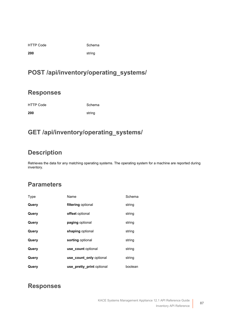| <b>HTTP Code</b> |
|------------------|
|------------------|

Schema

**200** string

# **POST /api/inventory/operating\_systems/**

#### **Responses**

HTTP Code Schema

**200** string

# **GET /api/inventory/operating\_systems/**

# **Description**

Retrieves the data for any matching operating systems. The operating system for a machine are reported during inventory.

# **Parameters**

| <b>Type</b> | Name                      | Schema  |
|-------------|---------------------------|---------|
| Query       | filtering optional        | string  |
| Query       | <b>offset</b> optional    | string  |
| Query       | paging optional           | string  |
| Query       | shaping optional          | string  |
| Query       | sorting optional          | string  |
| Query       | use count optional        | string  |
| Query       | use count only optional   | string  |
| Query       | use_pretty_print optional | boolean |

#### **Responses**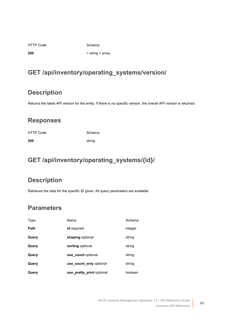HTTP Code Schema

**200** < string > array

# **GET /api/inventory/operating\_systems/version/**

### **Description**

Returns the latest API version for the entity. If there is no specific version, the overall API version is returned.

### **Responses**

HTTP Code Schema **200** string

# **GET /api/inventory/operating\_systems/{id}/**

# **Description**

Retrieves the data for the specific ID given. All query parameters are available.

| Type        | Name                      | Schema  |
|-------------|---------------------------|---------|
| <b>Path</b> | id required               | integer |
| Query       | shaping optional          | string  |
| Query       | sorting optional          | string  |
| Query       | use count optional        | string  |
| Query       | use count only optional   | string  |
| Query       | use_pretty_print optional | boolean |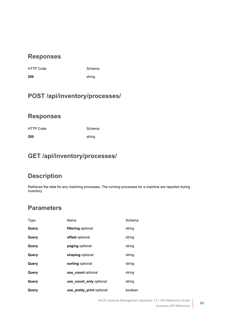| <b>HTTP Code</b> | Scher  |
|------------------|--------|
| 200              | string |

de **Schema** 

# **POST /api/inventory/processes/**

#### **Responses**

HTTP Code Schema **200** string

# **GET /api/inventory/processes/**

# **Description**

Retrieves the data for any matching processes. The running processes for a machine are reported during inventory.

| Type  | Name                      | Schema  |
|-------|---------------------------|---------|
| Query | filtering optional        | string  |
| Query | offset optional           | string  |
| Query | paging optional           | string  |
| Query | shaping optional          | string  |
| Query | sorting optional          | string  |
| Query | use count optional        | string  |
| Query | use count only optional   | string  |
| Query | use pretty print optional | boolean |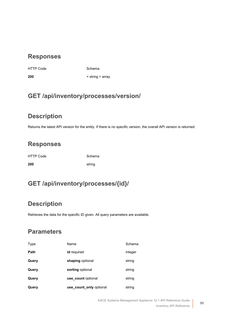HTTP Code Schema

**200** < string > array

### **GET /api/inventory/processes/version/**

#### **Description**

Returns the latest API version for the entity. If there is no specific version, the overall API version is returned.

# **Responses**

HTTP Code Schema **200** string

# **GET /api/inventory/processes/{id}/**

# **Description**

Retrieves the data for the specific ID given. All query parameters are available.

| Type  | Name                    | Schema  |
|-------|-------------------------|---------|
| Path  | <b>id</b> required      | integer |
| Query | shaping optional        | string  |
| Query | sorting optional        | string  |
| Query | use count optional      | string  |
| Query | use count only optional | string  |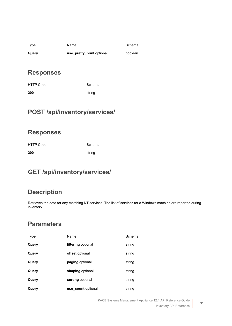| Type  | Name                      | Schema  |
|-------|---------------------------|---------|
| Query | use_pretty_print optional | boolean |

Schema

#### **Responses**

| HTTP Code | Schema |
|-----------|--------|
| 200       | string |

# **POST /api/inventory/services/**

#### **Responses**

| <b>HTTP Code</b> | Schema |
|------------------|--------|
| 200              | string |

# **GET /api/inventory/services/**

# **Description**

Retrieves the data for any matching NT services. The list of services for a Windows machine are reported during inventory.

| Type  | Name               | Schema |
|-------|--------------------|--------|
| Query | filtering optional | string |
| Query | offset optional    | string |
| Query | paging optional    | string |
| Query | shaping optional   | string |
| Query | sorting optional   | string |
| Query | use count optional | string |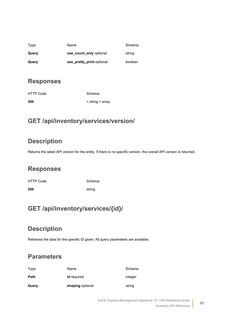| Type  | Name                      | Schema  |
|-------|---------------------------|---------|
| Query | use count only optional   | string  |
| Query | use_pretty_print optional | boolean |

| HTTP Code | Schema                   |
|-----------|--------------------------|
| 200       | $\le$ string $\ge$ array |

# **GET /api/inventory/services/version/**

# **Description**

Returns the latest API version for the entity. If there is no specific version, the overall API version is returned.

#### **Responses**

HTTP Code Schema **200** string

# **GET /api/inventory/services/{id}/**

# **Description**

Retrieves the data for the specific ID given. All query parameters are available.

| Query | shaping optional   | string  |
|-------|--------------------|---------|
| Path  | <b>id</b> required | integer |
| Type  | Name               | Schema  |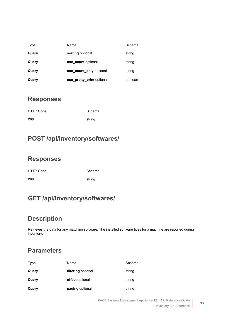| Type  | Name                      | Schema  |
|-------|---------------------------|---------|
| Query | sorting optional          | string  |
| Query | use count optional        | string  |
| Query | use count only optional   | string  |
| Query | use pretty print optional | boolean |

| <b>HTTP Code</b> | Schema |
|------------------|--------|
| 200              | string |

# **POST /api/inventory/softwares/**

#### **Responses**

| <b>HTTP Code</b> | Schema |
|------------------|--------|
| 200              | string |

# **GET /api/inventory/softwares/**

### **Description**

Retrieves the data for any matching software. The installed software titles for a machine are reported during inventory.

| Type  | Name                   | Schema |
|-------|------------------------|--------|
| Query | filtering optional     | string |
| Query | <b>offset</b> optional | string |
| Query | paging optional        | string |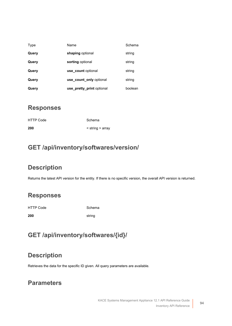| Type  | Name                      | Schema  |
|-------|---------------------------|---------|
| Query | shaping optional          | string  |
| Query | sorting optional          | string  |
| Query | use count optional        | string  |
| Query | use count only optional   | string  |
| Query | use pretty print optional | boolean |

| <b>HTTP Code</b> | Schema                   |
|------------------|--------------------------|
| 200              | $\le$ string $\ge$ array |

#### **GET /api/inventory/softwares/version/**

### **Description**

Returns the latest API version for the entity. If there is no specific version, the overall API version is returned.

### **Responses**

HTTP Code Schema **200** string

# **GET /api/inventory/softwares/{id}/**

### **Description**

Retrieves the data for the specific ID given. All query parameters are available.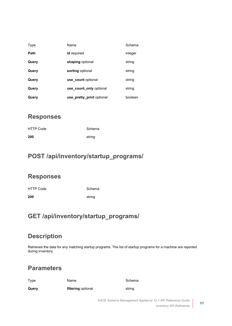| Type  | Name                      | Schema  |
|-------|---------------------------|---------|
| Path  | id required               | integer |
| Query | shaping optional          | string  |
| Query | sorting optional          | string  |
| Query | use count optional        | string  |
| Query | use count only optional   | string  |
| Query | use_pretty_print optional | boolean |

| <b>HTTP Code</b> | Schema |
|------------------|--------|
| 200              | string |

### **POST /api/inventory/startup\_programs/**

#### **Responses**

| <b>HTTP Code</b> | Schema |
|------------------|--------|
| 200              | string |

# **GET /api/inventory/startup\_programs/**

### **Description**

Retrieves the data for any matching startup programs. The list of startup programs for a machine are reported during inventory.

#### **Parameters**

Type Name Name Schema

**Query filtering** optional **string**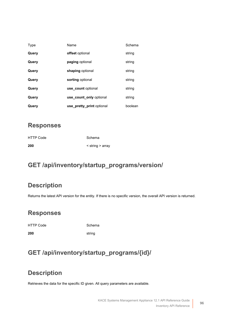| Type  | Name                      | Schema  |
|-------|---------------------------|---------|
| Query | offset optional           | string  |
| Query | paging optional           | string  |
| Query | shaping optional          | string  |
| Query | sorting optional          | string  |
| Query | use count optional        | string  |
| Query | use count only optional   | string  |
| Query | use pretty print optional | boolean |

| <b>HTTP Code</b> | Schema         |
|------------------|----------------|
| 200              | string > array |

# **GET /api/inventory/startup\_programs/version/**

# **Description**

Returns the latest API version for the entity. If there is no specific version, the overall API version is returned.

#### **Responses**

HTTP Code Schema

**200** string

# **GET /api/inventory/startup\_programs/{id}/**

# **Description**

Retrieves the data for the specific ID given. All query parameters are available.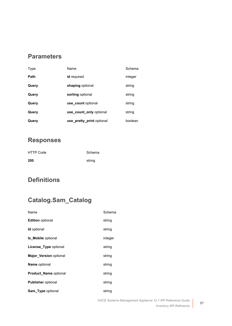#### **Parameters**

| Type        | Name                      | Schema  |
|-------------|---------------------------|---------|
| <b>Path</b> | id required               | integer |
| Query       | shaping optional          | string  |
| Query       | sorting optional          | string  |
| Query       | use count optional        | string  |
| Query       | use_count_only optional   | string  |
| Query       | use pretty print optional | boolean |

# **Responses**

| <b>HTTP Code</b> | Schema |
|------------------|--------|
| 200              | string |

# **Definitions**

# **Catalog.Sam\_Catalog**

| Name                          | Schema  |
|-------------------------------|---------|
| <b>Edition</b> optional       | string  |
| <b>Id</b> optional            | string  |
| <b>Is Mobile optional</b>     | integer |
| License_Type optional         | string  |
| <b>Major Version optional</b> | string  |
| <b>Name optional</b>          | string  |
| Product_Name optional         | string  |
| <b>Publisher</b> optional     | string  |
| <b>Sam Type optional</b>      | string  |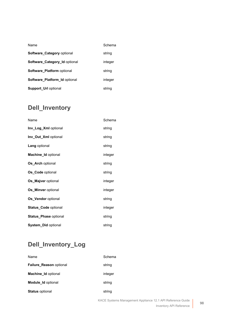| Name                                 | Schema  |
|--------------------------------------|---------|
| <b>Software Category optional</b>    | string  |
| Software_Category_Id optional        | integer |
| <b>Software Platform optional</b>    | string  |
| <b>Software Platform Id optional</b> | integer |
| <b>Support Url optional</b>          | string  |

# **Dell\_Inventory**

| Name                        | Schema  |
|-----------------------------|---------|
| Inv_Log_Xml optional        | string  |
| Inv_Out_Xml optional        | string  |
| Lang optional               | string  |
| Machine_Id optional         | integer |
| <b>Os Arch optional</b>     | string  |
| Os_Code optional            | string  |
| Os Majver optional          | integer |
| <b>Os Minver optional</b>   | integer |
| Os Vendor optional          | string  |
| <b>Status Code optional</b> | integer |
| Status_Phase optional       | string  |
| System_Did optional         | string  |

# **Dell\_Inventory\_Log**

| Name                           | Schema  |
|--------------------------------|---------|
| <b>Failure Reason optional</b> | string  |
| <b>Machine Id optional</b>     | integer |
| <b>Module Id optional</b>      | string  |
| <b>Status optional</b>         | string  |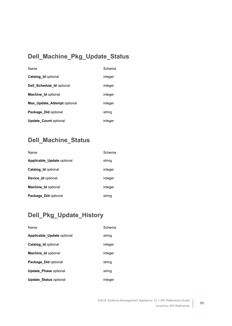# **Dell\_Machine\_Pkg\_Update\_Status**

| Name                         | Schema  |
|------------------------------|---------|
| <b>Catalog Id optional</b>   | integer |
| Dell_Schedule_Id optional    | integer |
| Machine_Id optional          | integer |
| Max_Update_Attempt optional  | integer |
| Package Did optional         | string  |
| <b>Update Count optional</b> | integer |

# **Dell\_Machine\_Status**

| Name                       | Schema  |
|----------------------------|---------|
| Applicable Update optional | string  |
| <b>Catalog Id optional</b> | integer |
| Device Id optional         | integer |
| <b>Machine Id optional</b> | integer |
| Package Did optional       | string  |

# **Dell\_Pkg\_Update\_History**

| Name                          | Schema  |
|-------------------------------|---------|
| Applicable Update optional    | string  |
| <b>Catalog Id optional</b>    | integer |
| <b>Machine Id optional</b>    | integer |
| Package Did optional          | string  |
| <b>Update Phase optional</b>  | string  |
| <b>Update Status optional</b> | integer |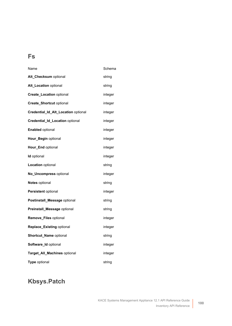# **Fs**

| Name                                | Schema  |
|-------------------------------------|---------|
| Alt_Checksum optional               | string  |
| Alt_Location optional               | string  |
| <b>Create_Location optional</b>     | integer |
| <b>Create_Shortcut optional</b>     | integer |
| Credential_Id_Alt_Location optional | integer |
| Credential_Id_Location optional     | integer |
| <b>Enabled optional</b>             | integer |
| Hour_Begin optional                 | integer |
| Hour_End optional                   | integer |
| <b>Id</b> optional                  | integer |
| <b>Location</b> optional            | string  |
| No_Uncompress optional              | integer |
| <b>Notes</b> optional               | string  |
| Persistent optional                 | integer |
| Postinstall_Message optional        | string  |
| <b>Preinstall_Message optional</b>  | string  |
| Remove_Files optional               | integer |
| Replace_Existing optional           | integer |
| Shortcut_Name optional              | string  |
| Software_Id optional                | integer |
| Target_All_Machines optional        | integer |
| Type optional                       | string  |

# **Kbsys.Patch**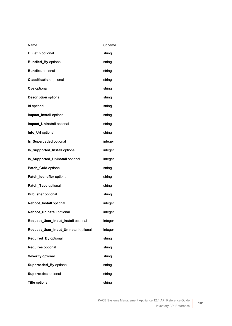| Name                                  | Schema  |
|---------------------------------------|---------|
| <b>Bulletin optional</b>              | string  |
| <b>Bundled_By optional</b>            | string  |
| <b>Bundles optional</b>               | string  |
| <b>Classification optional</b>        | string  |
| Cve optional                          | string  |
| <b>Description optional</b>           | string  |
| <b>Id</b> optional                    | string  |
| Impact_Install optional               | string  |
| Impact_Uninstall optional             | string  |
| Info_Url optional                     | string  |
| <b>Is_Superceded optional</b>         | integer |
| Is_Supported_Install optional         | integer |
| Is_Supported_Uninstall optional       | integer |
| Patch_Guid optional                   | string  |
| Patch_Identifier optional             | string  |
| Patch_Type optional                   | string  |
| <b>Publisher optional</b>             | string  |
| Reboot_Install optional               | integer |
| Reboot_Uninstall optional             | integer |
| Request_User_Input_Install optional   | integer |
| Request_User_Input_Uninstall optional | integer |
| Required_By optional                  | string  |
| Requires optional                     | string  |
| Severity optional                     | string  |
| Superceded_By optional                | string  |
| Supercedes optional                   | string  |
| Title optional                        | string  |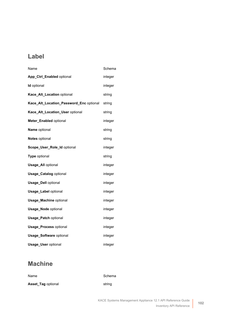# **Label**

| Name                                    | Schema  |
|-----------------------------------------|---------|
| App_Ctrl_Enabled optional               | integer |
| Id optional                             | integer |
| Kace_Alt_Location optional              | string  |
| Kace_Alt_Location_Password_Enc optional | string  |
| Kace_Alt_Location_User optional         | string  |
| Meter_Enabled optional                  | integer |
| Name optional                           | string  |
| Notes optional                          | string  |
| Scope_User_Role_Id optional             | integer |
| Type optional                           | string  |
| <b>Usage_All optional</b>               | integer |
| <b>Usage_Catalog optional</b>           | integer |
| <b>Usage_Dell optional</b>              | integer |
| <b>Usage_Label optional</b>             | integer |
| <b>Usage_Machine optional</b>           | integer |
| <b>Usage_Node optional</b>              | integer |
| <b>Usage_Patch optional</b>             | integer |
| <b>Usage_Process optional</b>           | integer |
| <b>Usage_Software optional</b>          | integer |
| <b>Usage_User optional</b>              | integer |

# **Machine**

| Name               | Schema |
|--------------------|--------|
| Asset_Tag optional | string |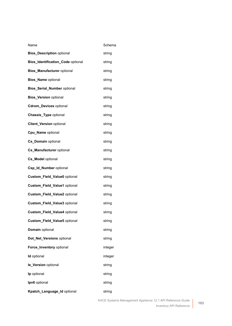| Name                              | Schema  |
|-----------------------------------|---------|
| <b>Bios_Description optional</b>  | string  |
| Bios_Identification_Code optional | string  |
| <b>Bios_Manufacturer</b> optional | string  |
| <b>Bios_Name optional</b>         | string  |
| Bios_Serial_Number optional       | string  |
| <b>Bios_Version optional</b>      | string  |
| <b>Cdrom_Devices optional</b>     | string  |
| <b>Chassis_Type optional</b>      | string  |
| <b>Client_Version optional</b>    | string  |
| Cpu_Name optional                 | string  |
| Cs_Domain optional                | string  |
| Cs_Manufacturer optional          | string  |
| Cs_Model optional                 | string  |
| Csp_Id_Number optional            | string  |
| Custom_Field_Value0 optional      | string  |
| Custom_Field_Value1 optional      | string  |
| Custom_Field_Value2 optional      | string  |
| Custom_Field_Value3 optional      | string  |
| Custom_Field_Value4 optional      | string  |
| Custom_Field_Value5 optional      | string  |
| Domain optional                   | string  |
| Dot_Net_Versions optional         | string  |
| Force_Inventory optional          | integer |
| <b>Id</b> optional                | integer |
| le_Version optional               | string  |
| Ip optional                       | string  |
| Ipv6 optional                     | string  |
| Kpatch_Language_Id optional       | string  |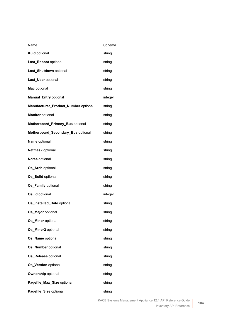| Name                                 | Schema  |
|--------------------------------------|---------|
| Kuid optional                        | string  |
| Last_Reboot optional                 | string  |
| Last_Shutdown optional               | string  |
| Last_User optional                   | string  |
| Mac optional                         | string  |
| <b>Manual_Entry optional</b>         | integer |
| Manufacturer_Product_Number optional | string  |
| <b>Monitor optional</b>              | string  |
| Motherboard_Primary_Bus optional     | string  |
| Motherboard_Secondary_Bus optional   | string  |
| Name optional                        | string  |
| Netmask optional                     | string  |
| Notes optional                       | string  |
| Os_Arch optional                     | string  |
| Os_Build optional                    | string  |
| Os_Family optional                   | string  |
| Os_Id optional                       | integer |
| Os_Installed_Date optional           | string  |
| Os Major optional                    | string  |
| Os_Minor optional                    | string  |
| Os_Minor2 optional                   | string  |
| Os_Name optional                     | string  |
| Os_Number optional                   | string  |
| Os_Release optional                  | string  |
| Os_Version optional                  | string  |
| <b>Ownership optional</b>            | string  |
| Pagefile_Max_Size optional           | string  |
| Pagefile_Size optional               | string  |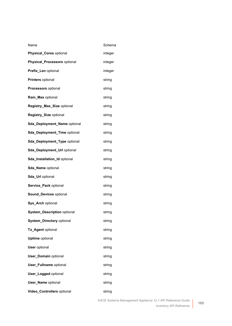| Name                               | Schema  |
|------------------------------------|---------|
| <b>Physical_Cores optional</b>     | integer |
| Physical_Processors optional       | integer |
| Prefix_Len optional                | integer |
| Printers optional                  | string  |
| <b>Processors</b> optional         | string  |
| Ram_Max optional                   | string  |
| Registry_Max_Size optional         | string  |
| Registry_Size optional             | string  |
| Sda_Deployment_Name optional       | string  |
| Sda_Deployment_Time optional       | string  |
| Sda_Deployment_Type optional       | string  |
| Sda_Deployment_Url optional        | string  |
| Sda_Installation_Id optional       | string  |
| Sda_Name optional                  | string  |
| Sda_Url optional                   | string  |
| Service_Pack optional              | string  |
| Sound_Devices optional             | string  |
| Sys_Arch optional                  | string  |
| <b>System_Description optional</b> | string  |
| <b>System_Directory optional</b>   | string  |
| Tz_Agent optional                  | string  |
| <b>Uptime optional</b>             | string  |
| <b>User optional</b>               | string  |
| <b>User_Domain optional</b>        | string  |
| <b>User_Fullname</b> optional      | string  |
| <b>User_Logged optional</b>        | string  |
| <b>User_Name optional</b>          | string  |
| Video_Controllers optional         | string  |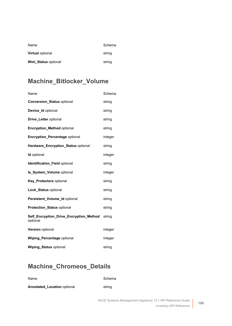| Name                    | Schema |
|-------------------------|--------|
| <b>Virtual optional</b> | string |
| Wmi Status optional     | string |

# **Machine\_Bitlocker\_Volume**

| Name                                                | Schema  |
|-----------------------------------------------------|---------|
| <b>Conversion_Status optional</b>                   | string  |
| Device_Id optional                                  | string  |
| Drive_Letter optional                               | string  |
| <b>Encryption_Method optional</b>                   | string  |
| <b>Encryption_Percentage optional</b>               | integer |
| Hardware_Encryption_Status optional                 | string  |
| <b>Id</b> optional                                  | integer |
| Identification_Field optional                       | string  |
| Is_System_Volume optional                           | integer |
| Key_Protectors optional                             | string  |
| Lock Status optional                                | string  |
| Persistent_Volume_Id optional                       | string  |
| Protection_Status optional                          | string  |
| Self_Encryption_Drive_Encryption_Method<br>optional | string  |
| <b>Version optional</b>                             | integer |
| <b>Wiping Percentage optional</b>                   | integer |
| <b>Wiping Status optional</b>                       | string  |

# **Machine\_Chromeos\_Details**

| Name                               | Schema |
|------------------------------------|--------|
| <b>Annotated Location optional</b> | string |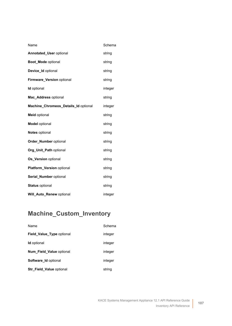| Name                                 | Schema  |
|--------------------------------------|---------|
| Annotated_User optional              | string  |
| Boot Mode optional                   | string  |
| Device_Id optional                   | string  |
| Firmware_Version optional            | string  |
| <b>Id</b> optional                   | integer |
| Mac_Address optional                 | string  |
| Machine_Chromeos_Details_Id optional | integer |
| <b>Meid</b> optional                 | string  |
| <b>Model</b> optional                | string  |
| <b>Notes optional</b>                | string  |
| <b>Order_Number</b> optional         | string  |
| Org_Unit_Path optional               | string  |
| Os Version optional                  | string  |
| Platform_Version optional            | string  |
| Serial_Number optional               | string  |
| <b>Status optional</b>               | string  |
| Will Auto Renew optional             | integer |

# **Machine\_Custom\_Inventory**

| Name                            | Schema  |
|---------------------------------|---------|
| Field_Value_Type optional       | integer |
| <b>Id</b> optional              | integer |
| Num Field Value optional        | integer |
| <b>Software Id optional</b>     | integer |
| <b>Str_Field_Value optional</b> | string  |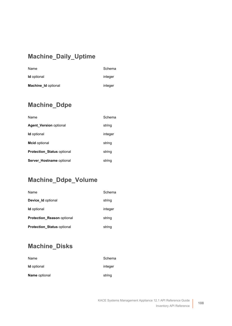# **Machine\_Daily\_Uptime**

| Name                       | Schema  |
|----------------------------|---------|
| <b>Id</b> optional         | integer |
| <b>Machine Id optional</b> | integer |

# **Machine\_Ddpe**

| Name                              | Schema  |
|-----------------------------------|---------|
| <b>Agent Version optional</b>     | string  |
| <b>Id</b> optional                | integer |
| <b>Mcid optional</b>              | string  |
| <b>Protection_Status optional</b> | string  |
| Server Hostname optional          | string  |

### **Machine\_Ddpe\_Volume**

| Name                              | Schema  |
|-----------------------------------|---------|
| Device Id optional                | string  |
| <b>Id</b> optional                | integer |
| <b>Protection Reason optional</b> | string  |
| <b>Protection Status optional</b> | string  |

# **Machine\_Disks**

| Name                 | Schema  |
|----------------------|---------|
| <b>Id</b> optional   | integer |
| <b>Name optional</b> | string  |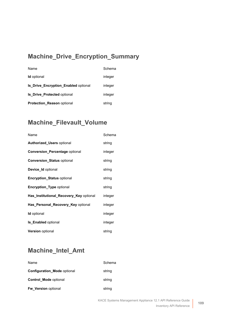## **Machine\_Drive\_Encryption\_Summary**

| Name                                        | Schema  |
|---------------------------------------------|---------|
| <b>Id</b> optional                          | integer |
| <b>Is Drive Encryption Enabled optional</b> | integer |
| <b>Is Drive Protected optional</b>          | integer |
| <b>Protection Reason optional</b>           | string  |

# **Machine\_Filevault\_Volume**

| Name                                    | Schema  |
|-----------------------------------------|---------|
| <b>Authorized Users optional</b>        | string  |
| <b>Conversion_Percentage optional</b>   | integer |
| <b>Conversion_Status optional</b>       | string  |
| <b>Device Id optional</b>               | string  |
| <b>Encryption Status optional</b>       | string  |
| <b>Encryption_Type optional</b>         | string  |
| Has_Institutional_Recovery_Key optional | integer |
| Has Personal Recovery Key optional      | integer |
| <b>Id</b> optional                      | integer |
| <b>Is_Enabled optional</b>              | integer |
| <b>Version optional</b>                 | string  |

# **Machine\_Intel\_Amt**

| Name                               | Schema |
|------------------------------------|--------|
| <b>Configuration Mode optional</b> | string |
| <b>Control Mode optional</b>       | string |
| Fw Version optional                | string |

**109**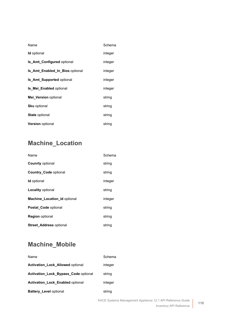| Name                              | Schema  |
|-----------------------------------|---------|
| <b>Id</b> optional                | integer |
| <b>Is Amt Configured optional</b> | integer |
| Is Amt Enabled In Bios optional   | integer |
| <b>Is Amt Supported optional</b>  | integer |
| <b>Is Mei Enabled optional</b>    | integer |
| Mei Version optional              | string  |
| <b>Sku</b> optional               | string  |
| <b>State optional</b>             | string  |
| <b>Version</b> optional           | string  |

# **Machine\_Location**

| Name                                | Schema  |
|-------------------------------------|---------|
| <b>Counrty optional</b>             | string  |
| <b>Country Code optional</b>        | string  |
| <b>Id</b> optional                  | integer |
| <b>Locality optional</b>            | string  |
| <b>Machine Location Id optional</b> | integer |
| <b>Postal Code optional</b>         | string  |
| <b>Region</b> optional              | string  |
| <b>Street_Address optional</b>      | string  |

# **Machine\_Mobile**

| Name                                        | Schema  |
|---------------------------------------------|---------|
| <b>Activation_Lock_Allowed optional</b>     | integer |
| <b>Activation Lock Bypass Code optional</b> | string  |
| <b>Activation Lock Enabled optional</b>     | integer |
| <b>Battery Level optional</b>               | string  |

**110**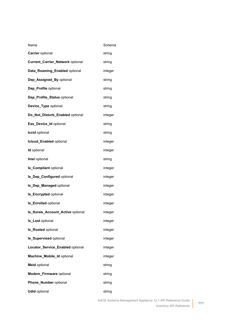| Name                                    | Schema  |
|-----------------------------------------|---------|
| <b>Carrier</b> optional                 | string  |
| <b>Current_Carrier_Network optional</b> | string  |
| Data_Roaming_Enabled optional           | integer |
| Dep_Assigned_By optional                | string  |
| Dep_Profile optional                    | string  |
| Dep_Profile_Status optional             | string  |
| Device_Type optional                    | string  |
| Do_Not_Disturb_Enabled optional         | integer |
| Eas_Device_Id optional                  | string  |
| <b>Iccid</b> optional                   | string  |
| Icloud_Enabled optional                 | integer |
| <b>Id</b> optional                      | integer |
| Imei optional                           | string  |
| <b>Is_Compliant optional</b>            | integer |
| Is_Dep_Configured optional              | integer |
| Is_Dep_Managed optional                 | integer |
| <b>Is_Encrypted optional</b>            | integer |
| <b>Is_Enrolled</b> optional             | integer |
| Is_Itunes_Account_Active optional       | integer |
| Is_Lost optional                        | integer |
| Is_Rooted optional                      | integer |
| <b>Is_Supervised optional</b>           | integer |
| Locator_Service_Enabled optional        | integer |
| Machine_Mobile_Id optional              | integer |
| <b>Meid optional</b>                    | string  |
| Modem_Firmware optional                 | string  |
| Phone_Number optional                   | string  |
| <b>Udid optional</b>                    | string  |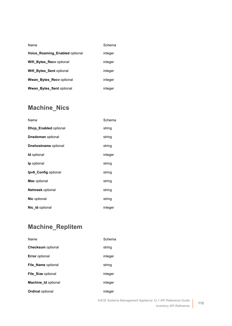| Name                                  | Schema  |
|---------------------------------------|---------|
| <b>Voice Roaming Enabled optional</b> | integer |
| Wifi Bytes Recv optional              | integer |
| Wifi Bytes Sent optional              | integer |
| <b>Wwan Bytes Recy optional</b>       | integer |
| <b>Wwan Bytes Sent optional</b>       | integer |

# **Machine\_Nics**

| Name                         | Schema  |
|------------------------------|---------|
| <b>Dhcp_Enabled optional</b> | string  |
| <b>Dnsdoman</b> optional     | string  |
| <b>Dnshostname</b> optional  | string  |
| <b>Id</b> optional           | integer |
| <b>lp</b> optional           | string  |
| Ipv6_Config optional         | string  |
| Mac optional                 | string  |
| <b>Netmask optional</b>      | string  |
| <b>Nic optional</b>          | string  |
| <b>Nic Id optional</b>       | integer |

# **Machine\_Replitem**

| Name                       | Schema  |
|----------------------------|---------|
| <b>Checksum</b> optional   | string  |
| <b>Error</b> optional      | integer |
| File Name optional         | string  |
| <b>File Size optional</b>  | integer |
| <b>Machine Id optional</b> | integer |
| <b>Ordinal optional</b>    | integer |
|                            |         |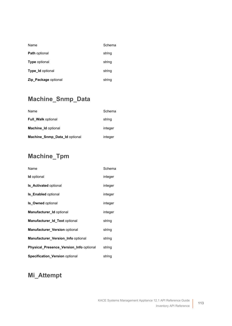| Name                    | Schema |
|-------------------------|--------|
| <b>Path optional</b>    | string |
| <b>Type optional</b>    | string |
| <b>Type Id optional</b> | string |
| Zip_Package optional    | string |

# **Machine\_Snmp\_Data**

| Name                          | Schema  |
|-------------------------------|---------|
| <b>Full Walk optional</b>     | string  |
| <b>Machine Id optional</b>    | integer |
| Machine_Snmp_Data_Id optional | integer |

## **Machine\_Tpm**

| Name                                           | Schema  |
|------------------------------------------------|---------|
| <b>Id</b> optional                             | integer |
| <b>Is Activated optional</b>                   | integer |
| <b>Is Enabled optional</b>                     | integer |
| <b>Is Owned optional</b>                       | integer |
| Manufacturer Id optional                       | integer |
| Manufacturer_Id_Text optional                  | string  |
| Manufacturer_Version optional                  | string  |
| <b>Manufacturer Version Info optional</b>      | string  |
| <b>Physical_Presence_Version_Info optional</b> | string  |
| <b>Specification Version optional</b>          | string  |

#### **Mi\_Attempt**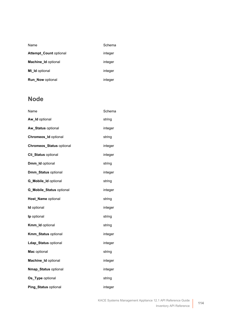| Name                          | Schema  |
|-------------------------------|---------|
| <b>Attempt Count optional</b> | integer |
| <b>Machine Id optional</b>    | integer |
| Mi Id optional                | integer |
| <b>Run Now optional</b>       | integer |

# **Node**

| Name                            | Schema  |
|---------------------------------|---------|
| Aw_Id optional                  | string  |
| Aw_Status optional              | integer |
| Chromeos_Id optional            | string  |
| <b>Chromeos_Status optional</b> | integer |
| Cli_Status optional             | integer |
| Dmm_Id optional                 | string  |
| Dmm_Status optional             | integer |
| G_Mobile_Id optional            | string  |
| <b>G_Mobile_Status optional</b> | integer |
| Host_Name optional              | string  |
| Id optional                     | integer |
| Ip optional                     | string  |
| Kmm_Id optional                 | string  |
| Kmm_Status optional             | integer |
| Ldap_Status optional            | integer |
| Mac optional                    | string  |
| Machine_Id optional             | integer |
| Nmap_Status optional            | integer |
| Os_Type optional                | string  |
| Ping_Status optional            | integer |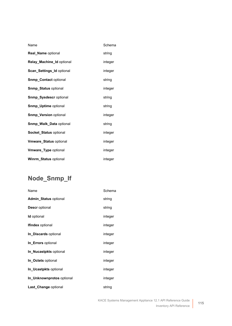| Name                           | Schema  |
|--------------------------------|---------|
| <b>Real_Name optional</b>      | string  |
| Relay Machine Id optional      | integer |
| Scan_Settings_Id optional      | integer |
| <b>Snmp_Contact optional</b>   | string  |
| <b>Snmp_Status optional</b>    | integer |
| <b>Snmp Sysdescr optional</b>  | string  |
| <b>Snmp_Uptime optional</b>    | string  |
| <b>Snmp_Version optional</b>   | integer |
| <b>Snmp_Walk_Data optional</b> | string  |
| <b>Socket Status optional</b>  | integer |
| <b>Vmware_Status optional</b>  | integer |
| Vmware_Type optional           | integer |
| Winrm_Status optional          | integer |

# **Node\_Snmp\_If**

| Name                         | Schema  |
|------------------------------|---------|
| <b>Admin_Status optional</b> | string  |
| <b>Descr</b> optional        | string  |
| <b>Id</b> optional           | integer |
| <b>Ifindex</b> optional      | integer |
| In Discards optional         | integer |
| In Errors optional           | integer |
| In Nucastpkts optional       | integer |
| In Octets optional           | integer |
| In Ucastpkts optional        | integer |
| In Unknownprotos optional    | integer |
| Last Change optional         | string  |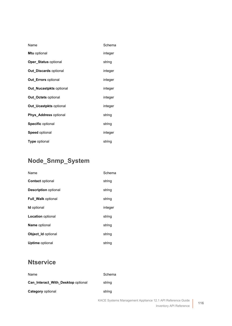| Name                           | Schema  |
|--------------------------------|---------|
| <b>Mtu</b> optional            | integer |
| <b>Oper Status optional</b>    | string  |
| <b>Out Discards optional</b>   | integer |
| <b>Out Errors optional</b>     | integer |
| <b>Out Nucastpkts optional</b> | integer |
| <b>Out Octets optional</b>     | integer |
| <b>Out Ucastpkts optional</b>  | integer |
| Phys_Address optional          | string  |
| <b>Specific optional</b>       | string  |
| <b>Speed optional</b>          | integer |
| <b>Type optional</b>           | string  |

# **Node\_Snmp\_System**

| Name                        | Schema  |
|-----------------------------|---------|
| <b>Contact optional</b>     | string  |
| <b>Description optional</b> | string  |
| <b>Full Walk optional</b>   | string  |
| <b>Id</b> optional          | integer |
| <b>Location</b> optional    | string  |
| <b>Name optional</b>        | string  |
| Object Id optional          | string  |
| <b>Uptime</b> optional      | string  |

# **Ntservice**

| Name                               | Schema |
|------------------------------------|--------|
| Can Interact With Desktop optional | string |
| Category optional                  | string |
|                                    |        |

**116**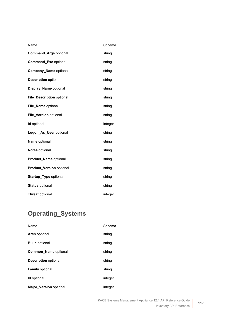| Name                            | Schema  |
|---------------------------------|---------|
| <b>Command_Args optional</b>    | string  |
| Command_Exe optional            | string  |
| <b>Company Name optional</b>    | string  |
| <b>Description optional</b>     | string  |
| Display_Name optional           | string  |
| File_Description optional       | string  |
| File_Name optional              | string  |
| File_Version optional           | string  |
| Id optional                     | integer |
| Logon As User optional          | string  |
| Name optional                   | string  |
| <b>Notes optional</b>           | string  |
| Product_Name optional           | string  |
| <b>Product_Version optional</b> | string  |
| <b>Startup_Type optional</b>    | string  |
| <b>Status optional</b>          | string  |
| <b>Threat optional</b>          | integer |

# **Operating\_Systems**

| Name                          | Schema  |
|-------------------------------|---------|
| <b>Arch optional</b>          | string  |
| <b>Build optional</b>         | string  |
| <b>Common Name optional</b>   | string  |
| <b>Description optional</b>   | string  |
| <b>Family optional</b>        | string  |
| <b>Id</b> optional            | integer |
| <b>Major Version optional</b> | integer |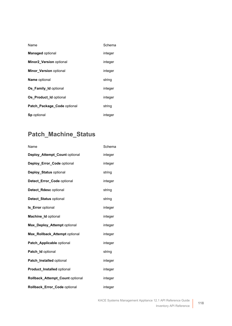| Name                          | Schema  |
|-------------------------------|---------|
| <b>Managed optional</b>       | integer |
| Minor2_Version optional       | integer |
| <b>Minor Version optional</b> | integer |
| <b>Name optional</b>          | string  |
| <b>Os Family Id optional</b>  | integer |
| Os Product Id optional        | integer |
| Patch Package Code optional   | string  |
| Sp optional                   | integer |

# **Patch\_Machine\_Status**

| Name                            | Schema  |
|---------------------------------|---------|
| Deploy_Attempt_Count optional   | integer |
| Deploy_Error_Code optional      | integer |
| Deploy_Status optional          | string  |
| Detect Error_Code optional      | integer |
| Detect_Rdesc optional           | string  |
| Detect_Status optional          | string  |
| <b>Is_Error</b> optional        | integer |
| Machine_Id optional             | integer |
| Max_Deploy_Attempt optional     | integer |
| Max_Rollback_Attempt optional   | integer |
| Patch Applicable optional       | integer |
| Patch_Id optional               | string  |
| Patch_Installed optional        | integer |
| Product_Installed optional      | integer |
| Rollback Attempt Count optional | integer |
| Rollback_Error_Code optional    | integer |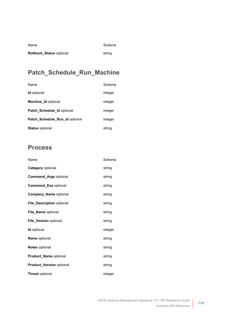| Name                            | Schema |
|---------------------------------|--------|
| <b>Rollback Status optional</b> | string |

# **Patch\_Schedule\_Run\_Machine**

| Name                           | Schema  |
|--------------------------------|---------|
| <b>Id</b> optional             | integer |
| <b>Machine Id optional</b>     | integer |
| Patch_Schedule_Id optional     | integer |
| Patch Schedule Run Id optional | integer |
| <b>Status optional</b>         | string  |

## **Process**

| Name                         | Schema  |
|------------------------------|---------|
| Category optional            | string  |
| <b>Command_Args optional</b> | string  |
| <b>Command_Exe optional</b>  | string  |
| <b>Company_Name optional</b> | string  |
| File_Description optional    | string  |
| <b>File Name optional</b>    | string  |
| File_Version optional        | string  |
| Id optional                  | integer |
| Name optional                | string  |
| <b>Notes optional</b>        | string  |
| Product_Name optional        | string  |
| Product_Version optional     | string  |
| <b>Threat optional</b>       | integer |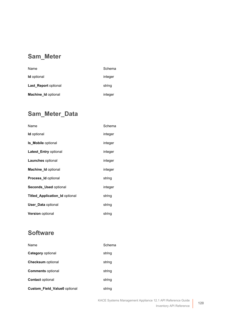## **Sam\_Meter**

| Name                        | Schema  |
|-----------------------------|---------|
| <b>Id</b> optional          | integer |
| <b>Last Report optional</b> | string  |
| <b>Machine Id optional</b>  | integer |

## **Sam\_Meter\_Data**

| Name                                  | Schema  |
|---------------------------------------|---------|
| <b>Id</b> optional                    | integer |
| <b>Is Mobile optional</b>             | integer |
| Latest_Entry optional                 | integer |
| <b>Launches</b> optional              | integer |
| <b>Machine Id optional</b>            | integer |
| <b>Process Id optional</b>            | string  |
| Seconds_Used optional                 | integer |
| <b>Titled Application Id optional</b> | string  |
| <b>User Data optional</b>             | string  |
| <b>Version</b> optional               | string  |

# **Software**

| Name                                | Schema |
|-------------------------------------|--------|
| <b>Category</b> optional            | string |
| <b>Checksum</b> optional            | string |
| <b>Comments</b> optional            | string |
| <b>Contact optional</b>             | string |
| <b>Custom_Field_Value0</b> optional | string |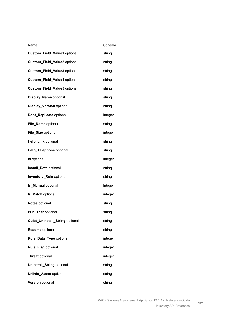| Name                             | Schema  |
|----------------------------------|---------|
| Custom_Field_Value1 optional     | string  |
| Custom_Field_Value2 optional     | string  |
| Custom_Field_Value3 optional     | string  |
| Custom_Field_Value4 optional     | string  |
| Custom_Field_Value5 optional     | string  |
| Display_Name optional            | string  |
| <b>Display_Version optional</b>  | string  |
| Dont_Replicate optional          | integer |
| File_Name optional               | string  |
| File_Size optional               | integer |
| Help_Link optional               | string  |
| Help_Telephone optional          | string  |
| <b>Id</b> optional               | integer |
| Install_Date optional            | string  |
| Inventory_Rule optional          | string  |
| <b>Is_Manual optional</b>        | integer |
| Is_Patch optional                | integer |
| Notes optional                   | string  |
| Publisher optional               | string  |
| Quiet_Uninstall_String optional  | string  |
| Readme optional                  | string  |
| Rule_Data_Type optional          | integer |
| Rule_Flag optional               | integer |
| <b>Threat optional</b>           | integer |
| <b>Uninstall_String optional</b> | string  |
| Urlinfo_About optional           | string  |
| Version optional                 | string  |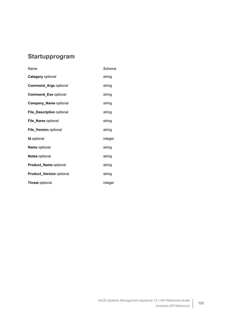## **Startupprogram**

| Name                            | Schema  |
|---------------------------------|---------|
| Category optional               | string  |
| <b>Command_Args optional</b>    | string  |
| <b>Command_Exe optional</b>     | string  |
| <b>Company Name optional</b>    | string  |
| File Description optional       | string  |
| <b>File Name optional</b>       | string  |
| File_Version optional           | string  |
| <b>Id</b> optional              | integer |
| Name optional                   | string  |
| <b>Notes</b> optional           | string  |
| Product_Name optional           | string  |
| <b>Product Version optional</b> | string  |
| <b>Threat optional</b>          | integer |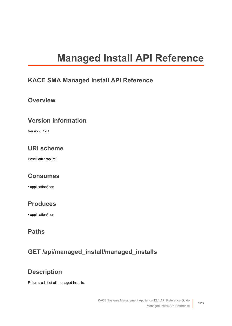# **Managed Install API Reference**

#### **KACE SMA Managed Install API Reference**

#### **Overview**

#### **Version information**

Version : 12.1

## **URI scheme**

BasePath : /api/mi

#### **Consumes**

• application/json

#### **Produces**

• application/json

#### **Paths**

# **GET /api/managed\_install/managed\_installs**

# **Description**

Returns a list of all managed installs.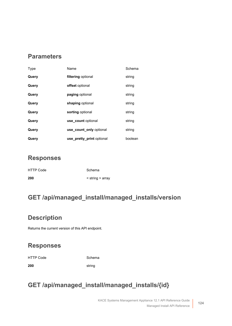#### **Parameters**

| Type  | Name                      | Schema  |
|-------|---------------------------|---------|
| Query | filtering optional        | string  |
| Query | offset optional           | string  |
| Query | paging optional           | string  |
| Query | shaping optional          | string  |
| Query | sorting optional          | string  |
| Query | use count optional        | string  |
| Query | use count only optional   | string  |
| Query | use pretty print optional | boolean |

#### **Responses**

| <b>HTTP Code</b> | Schema                   |
|------------------|--------------------------|
| 200              | $\le$ string $\ge$ array |

# **GET /api/managed\_install/managed\_installs/version**

#### **Description**

Returns the current version of this API endpoint.

#### **Responses**

HTTP Code Schema

**200** string

# **GET /api/managed\_install/managed\_installs/{id}**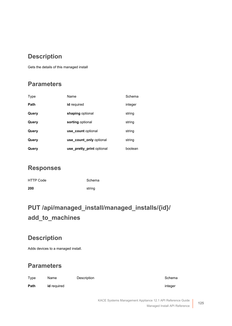#### **Description**

Gets the details of this managed install

#### **Parameters**

| Type        | Name                      | Schema  |
|-------------|---------------------------|---------|
| <b>Path</b> | id required               | integer |
| Query       | shaping optional          | string  |
| Query       | sorting optional          | string  |
| Query       | use count optional        | string  |
| Query       | use count only optional   | string  |
| Query       | use pretty print optional | boolean |

#### **Responses**

| <b>HTTP Code</b> | Schema |
|------------------|--------|
| 200              | string |

# **PUT /api/managed\_install/managed\_installs/{id}/ add\_to\_machines**

#### **Description**

Adds devices to a managed install.

| Type | Name               | Description | Schema  |
|------|--------------------|-------------|---------|
| Path | <b>id</b> required |             | integer |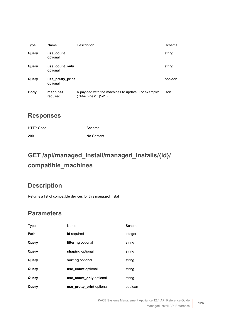| Type        | Name                         | Description                                                                   | Schema  |
|-------------|------------------------------|-------------------------------------------------------------------------------|---------|
| Query       | use count<br>optional        |                                                                               | string  |
| Query       | use count only<br>optional   |                                                                               | string  |
| Query       | use pretty print<br>optional |                                                                               | boolean |
| <b>Body</b> | machines<br>required         | A payload with the machines to update. For example:<br>{ "Machines" : ["id"]} | ison    |

| <b>HTTP Code</b> | Schema     |
|------------------|------------|
| 200              | No Content |

# **GET /api/managed\_install/managed\_installs/{id}/ compatible\_machines**

#### **Description**

Returns a list of compatible devices for this managed install.

| Type  | Name                      | Schema  |
|-------|---------------------------|---------|
| Path  | id required               | integer |
| Query | filtering optional        | string  |
| Query | shaping optional          | string  |
| Query | sorting optional          | string  |
| Query | use count optional        | string  |
| Query | use count only optional   | string  |
| Query | use pretty print optional | boolean |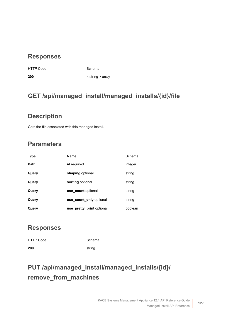HTTP Code Schema

**200** < string > array

# **GET /api/managed\_install/managed\_installs/{id}/file**

#### **Description**

Gets the file associated with this managed install.

## **Parameters**

| Type  | Name                      | Schema  |
|-------|---------------------------|---------|
| Path  | id required               | integer |
| Query | shaping optional          | string  |
| Query | sorting optional          | string  |
| Query | use count optional        | string  |
| Query | use count only optional   | string  |
| Query | use_pretty_print optional | boolean |

#### **Responses**

| <b>HTTP Code</b> | Schema |
|------------------|--------|
| 200              | string |

# **PUT /api/managed\_install/managed\_installs/{id}/ remove\_from\_machines**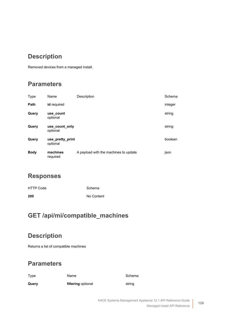# **Description**

Removed devices from a managed install.

#### **Parameters**

| Type        | Name                         | Description                           | Schema  |
|-------------|------------------------------|---------------------------------------|---------|
| Path        | id required                  |                                       | integer |
| Query       | use count<br>optional        |                                       | string  |
| Query       | use count only<br>optional   |                                       | string  |
| Query       | use pretty print<br>optional |                                       | boolean |
| <b>Body</b> | machines<br>required         | A payload with the machines to update | json    |

#### **Responses**

| <b>HTTP Code</b> | Schema     |
|------------------|------------|
| 200              | No Content |

# **GET /api/mi/compatible\_machines**

#### **Description**

Returns a list of compatible machines

| Type  | Name               | Schema |
|-------|--------------------|--------|
| Query | filtering optional | string |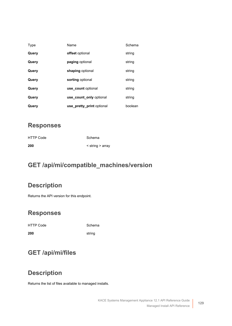| Type  | Name                      | Schema  |
|-------|---------------------------|---------|
| Query | offset optional           | string  |
| Query | paging optional           | string  |
| Query | shaping optional          | string  |
| Query | sorting optional          | string  |
| Query | use count optional        | string  |
| Query | use count only optional   | string  |
| Query | use pretty print optional | boolean |

| 200              | $\le$ string $>$ array |
|------------------|------------------------|
| <b>HTTP Code</b> | Schema                 |

# **GET /api/mi/compatible\_machines/version**

## **Description**

Returns the API version for this endpoint.

#### **Responses**

HTTP Code Schema **200** string

#### **GET /api/mi/files**

#### **Description**

Returns the list of files available to managed installs.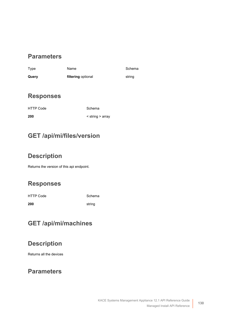#### **Parameters**

| Type  | Name               | Schema |
|-------|--------------------|--------|
| Query | filtering optional | string |

#### **Responses**

HTTP Code Schema

**200** < string > array

# **GET /api/mi/files/version**

# **Description**

Returns the version of this api endpoint.

#### **Responses**

HTTP Code Schema

**200** string

# **GET /api/mi/machines**

# **Description**

Returns all the devices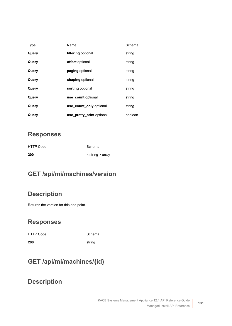| Type  | Name                      | Schema  |
|-------|---------------------------|---------|
| Query | filtering optional        | string  |
| Query | offset optional           | string  |
| Query | paging optional           | string  |
| Query | shaping optional          | string  |
| Query | sorting optional          | string  |
| Query | use count optional        | string  |
| Query | use count only optional   | string  |
| Query | use_pretty_print optional | boolean |

| <b>HTTP Code</b> | Schema                   |
|------------------|--------------------------|
| 200              | $\le$ string $\ge$ array |

# **GET /api/mi/machines/version**

#### **Description**

Returns the version for this end point.

#### **Responses**

| HTTP Code | Schema |
|-----------|--------|
| 200       | string |

# **GET /api/mi/machines/{id}**

#### **Description**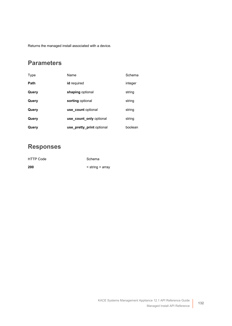Returns the managed install associated with a device.

#### **Parameters**

| Type  | Name                      | Schema  |
|-------|---------------------------|---------|
| Path  | id required               | integer |
| Query | shaping optional          | string  |
| Query | sorting optional          | string  |
| Query | use count optional        | string  |
| Query | use count only optional   | string  |
| Query | use_pretty_print optional | boolean |

#### **Responses**

| 200       | $\le$ string $\ge$ array |
|-----------|--------------------------|
| HTTP Code | Schema                   |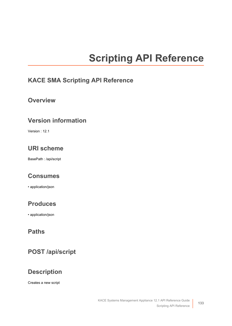# **Scripting API Reference**

#### **KACE SMA Scripting API Reference**

#### **Overview**

#### **Version information**

Version : 12.1

#### **URI scheme**

BasePath : /api/script

#### **Consumes**

• application/json

#### **Produces**

• application/json

## **Paths**

# **POST /api/script**

#### **Description**

Creates a new script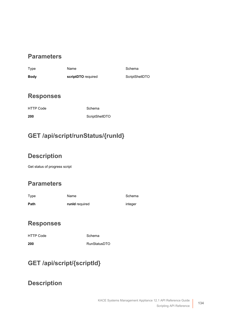#### **Parameters**

Type **Name** Name Schema **Body scriptDTO** required **[ScriptShellDTO](#page-145-0)** 

#### **Responses**

HTTP Code Schema

**200** [ScriptShellDTO](#page-145-0)

# **GET /api/script/runStatus/{runId}**

# **Description**

Get status of progress script

# **Parameters**

| Type | Name           | Schema  |
|------|----------------|---------|
| Path | runld required | integer |

#### **Responses**

| <b>HTTP Code</b> | Schema              |
|------------------|---------------------|
| 200              | <b>RunStatusDTO</b> |

# **GET /api/script/{scriptId}**

#### **Description**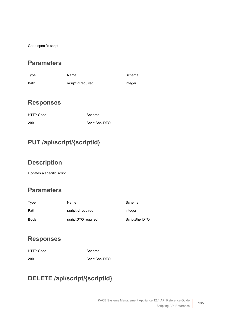Get a specific script

#### **Parameters**

| Type | Name              | Schema  |
|------|-------------------|---------|
| Path | scriptid required | integer |

#### **Responses**

| <b>HTTP Code</b> | Schema         |
|------------------|----------------|
| 200              | ScriptShellDTO |

# **PUT /api/script/{scriptId}**

#### **Description**

Updates a specific script

#### **Parameters**

| Type        | Name               | Schema         |
|-------------|--------------------|----------------|
| Path        | scriptid required  | integer        |
| <b>Body</b> | scriptDTO required | ScriptShellDTO |

#### **Responses**

| <b>HTTP Code</b> | Schema         |
|------------------|----------------|
| 200              | ScriptShellDTO |

# **DELETE /api/script/{scriptId}**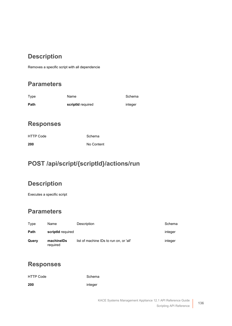#### **Description**

Removes a specific script with all dependencie

#### **Parameters**

| Type | Name              | Schema  |
|------|-------------------|---------|
| Path | scriptid required | integer |

#### **Responses**

| <b>HTTP Code</b> | Schema     |
|------------------|------------|
| 200              | No Content |

# **POST /api/script/{scriptId}/actions/run**

# **Description**

Executes a specific script

#### **Parameters**

| Type  | Name                   | Description                             | Schema  |
|-------|------------------------|-----------------------------------------|---------|
| Path  | scriptid required      |                                         | integer |
| Query | machinelDs<br>required | list of machine IDs to run on, or 'all' | integer |

#### **Responses**

| <b>HTTP Code</b> | Schema  |
|------------------|---------|
| 200              | integer |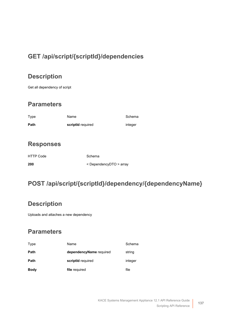# **GET /api/script/{scriptId}/dependencies**

## **Description**

Get all dependency of script

#### **Parameters**

| Type | Name              | Schema  |
|------|-------------------|---------|
| Path | scriptid required | integer |

#### **Responses**

| <b>HTTP Code</b> | Schema                            |
|------------------|-----------------------------------|
| 200              | $\leq$ DependencyDTO $\geq$ array |

# **POST /api/script/{scriptId}/dependency/{dependencyName}**

#### **Description**

Uploads and attaches a new dependency

| Type        | Name                    | Schema  |
|-------------|-------------------------|---------|
| Path        | dependencyName required | string  |
| Path        | scriptId required       | integer |
| <b>Body</b> | file required           | file    |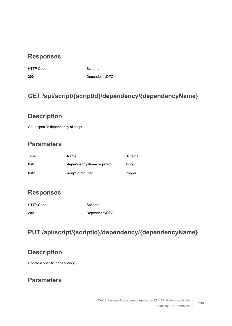HTTP Code Schema

**200** [DependencyDTO](#page-143-1)

## **GET /api/script/{scriptId}/dependency/{dependencyName}**

#### **Description**

Get a specific dependency of script

#### **Parameters**

| Type | Name                    | Schema  |
|------|-------------------------|---------|
| Path | dependencyName required | string  |
| Path | scriptid required       | integer |

#### **Responses**

| <b>HTTP Code</b> | Schema        |
|------------------|---------------|
| 200              | DependencyDTO |

# **PUT /api/script/{scriptId}/dependency/{dependencyName}**

#### **Description**

Update a specific dependency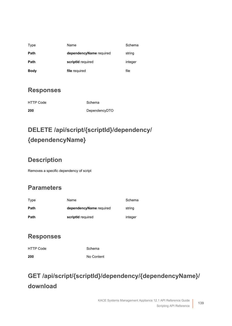| Type        | Name                    | Schema  |
|-------------|-------------------------|---------|
| Path        | dependencyName required | string  |
| Path        | scriptid required       | integer |
| <b>Body</b> | file required           | file    |

| <b>HTTP Code</b> | Schema        |
|------------------|---------------|
| 200              | DependencyDTO |

# **DELETE /api/script/{scriptId}/dependency/ {dependencyName}**

# **Description**

Removes a specific dependency of script

# **Parameters**

| Type | Name                    | Schema  |
|------|-------------------------|---------|
| Path | dependencyName required | string  |
| Path | scriptid required       | integer |

# **Responses**

| <b>HTTP Code</b> | Schema     |
|------------------|------------|
| 200              | No Content |

# **GET /api/script/{scriptId}/dependency/{dependencyName}/ download**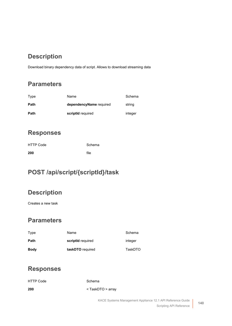# **Description**

Download binary dependency data of script. Allows to download streaming data

#### **Parameters**

| Type | Name                    | Schema  |
|------|-------------------------|---------|
| Path | dependencyName required | string  |
| Path | scriptid required       | integer |

#### **Responses**

| <b>HTTP Code</b> | Schema |
|------------------|--------|
| 200              | file   |

## **POST /api/script/{scriptId}/task**

#### **Description**

Creates a new task

## **Parameters**

| Type        | Name              | Schema  |
|-------------|-------------------|---------|
| Path        | scriptid required | integer |
| <b>Body</b> | taskDTO required  | TaskDTO |

#### **Responses**

| <b>HTTP Code</b> | Schema                    |
|------------------|---------------------------|
| 200              | <taskdto> array</taskdto> |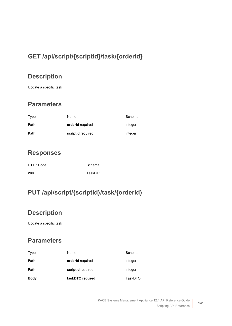# **GET /api/script/{scriptId}/task/{orderId}**

#### **Description**

Update a specific task

#### **Parameters**

| Type | Name              | Schema  |
|------|-------------------|---------|
| Path | orderId required  | integer |
| Path | scriptId required | integer |

#### **Responses**

| <b>HTTP Code</b> | Schema  |
|------------------|---------|
| 200              | TaskDTO |

# **PUT /api/script/{scriptId}/task/{orderId}**

# **Description**

Update a specific task

| Type        | Name              | Schema  |
|-------------|-------------------|---------|
| Path        | orderId required  | integer |
| Path        | scriptid required | integer |
| <b>Body</b> | taskDTO required  | TaskDTO |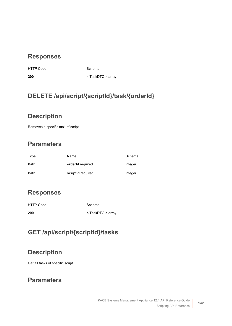HTTP Code Schema

**200** < [TaskDTO](#page-146-0) > array

## **DELETE /api/script/{scriptId}/task/{orderId}**

#### **Description**

Removes a specific task of script

#### **Parameters**

| Type | Name              | Schema  |
|------|-------------------|---------|
| Path | orderId required  | integer |
| Path | scriptid required | integer |

#### **Responses**

| <b>HTTP Code</b> | Schema                    |
|------------------|---------------------------|
| 200              | <taskdto> array</taskdto> |

# **GET /api/script/{scriptId}/tasks**

#### **Description**

Get all tasks of specific script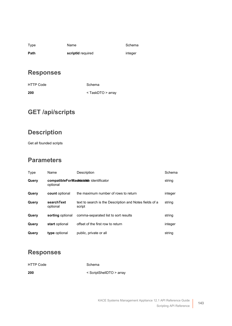| Type | Name              | Schem   |
|------|-------------------|---------|
| Path | scriptid required | integer |

Schema

#### **Responses**

| <b>HTTP Code</b> | Schema                    |
|------------------|---------------------------|
| 200              | <taskdto> array</taskdto> |

# **GET /api/scripts**

# **Description**

Get all founded scripts

#### **Parameters**

| Type  | Name                                                 | Description                                                       | Schema  |
|-------|------------------------------------------------------|-------------------------------------------------------------------|---------|
| Query | compatible For Machanelick identificator<br>optional |                                                                   | string  |
| Query | count optional                                       | the maximum number of rows to return                              | integer |
| Query | searchText<br>optional                               | text to search is the Description and Notes fields of a<br>script | string  |
| Query | sorting optional                                     | comma-separated list to sort results                              | string  |
| Query | start optional                                       | offset of the first row to return                                 | integer |
| Query | type optional                                        | public, private or all                                            | string  |

#### **Responses**

| <b>HTTP Code</b> | Schema                   |
|------------------|--------------------------|
| 200              | < ScriptShellDTO > array |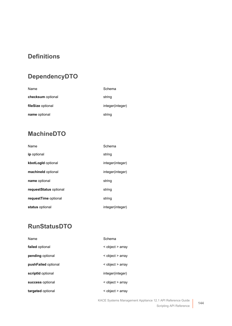# **Definitions**

# <span id="page-143-1"></span>**DependencyDTO**

| Name              | Schema           |
|-------------------|------------------|
| checksum optional | string           |
| fileSize optional | integer(integer) |
| name optional     | string           |

# **MachineDTO**

| Name                   | Schema           |
|------------------------|------------------|
| ip optional            | string           |
| kbotLogId optional     | integer(integer) |
| machineld optional     | integer(integer) |
| name optional          | string           |
| requestStatus optional | string           |
| requestTime optional   | string           |
| status optional        | integer(integer) |

# <span id="page-143-0"></span>**RunStatusDTO**

| Name                | Schema           |
|---------------------|------------------|
| failed optional     | < object > array |
| pending optional    | < object > array |
| pushFailed optional | < object > array |
| scriptid optional   | integer(integer) |
| success optional    | < object > array |
| targeted optional   | < object > array |

KACE Systems Management Appliance 12.1 API Reference Guide Scripting API Reference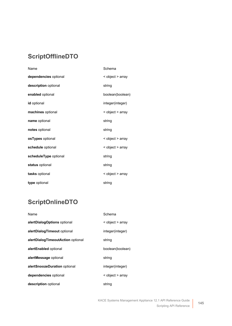## **ScriptOfflineDTO**

| Name                  | Schema           |
|-----------------------|------------------|
| dependencies optional | < object > array |
| description optional  | string           |
| enabled optional      | boolean(boolean) |
| <b>id</b> optional    | integer(integer) |
| machines optional     | < object > array |
| name optional         | string           |
| notes optional        | string           |
| osTypes optional      | < object > array |
| schedule optional     | < object > array |
| scheduleType optional | string           |
| status optional       | string           |
| tasks optional        | < object > array |
| type optional         | string           |

## **ScriptOnlineDTO**

| Name                              | Schema           |
|-----------------------------------|------------------|
| alertDialogOptions optional       | < object > array |
| alertDialogTimeout optional       | integer(integer) |
| alertDialogTimeoutAction optional | string           |
| alertEnabled optional             | boolean(boolean) |
| alertMessage optional             | string           |
| alertSnoozeDuration optional      | integer(integer) |
| dependencies optional             | < object > array |
| description optional              | string           |

**145**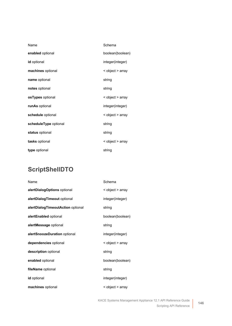| Name                  | Schema           |
|-----------------------|------------------|
| enabled optional      | boolean(boolean) |
| <b>id</b> optional    | integer(integer) |
| machines optional     | < object > array |
| name optional         | string           |
| notes optional        | string           |
| osTypes optional      | < object > array |
| runAs optional        | integer(integer) |
| schedule optional     | < object > array |
| scheduleType optional | string           |
| status optional       | string           |
| tasks optional        | < object > array |
| type optional         | string           |

## **ScriptShellDTO**

| Name                              | Schema           |
|-----------------------------------|------------------|
| alertDialogOptions optional       | < object > array |
| alertDialogTimeout optional       | integer(integer) |
| alertDialogTimeoutAction optional | string           |
| alertEnabled optional             | boolean(boolean) |
| alertMessage optional             | string           |
| alertSnoozeDuration optional      | integer(integer) |
| dependencies optional             | < object > array |
| description optional              | string           |
| enabled optional                  | boolean(boolean) |
| fileName optional                 | string           |
| <b>id</b> optional                | integer(integer) |
| machines optional                 | < object > array |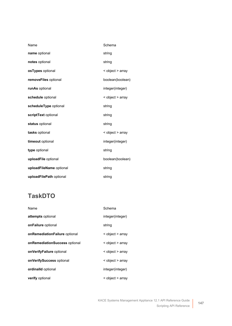| Name                    | Schema           |
|-------------------------|------------------|
| name optional           | string           |
| notes optional          | string           |
| osTypes optional        | < object > array |
| removeFiles optional    | boolean(boolean) |
| runAs optional          | integer(integer) |
| schedule optional       | < object > array |
| scheduleType optional   | string           |
| scriptText optional     | string           |
| status optional         | string           |
| tasks optional          | < object > array |
| timeout optional        | integer(integer) |
| type optional           | string           |
| uploadFile optional     | boolean(boolean) |
| uploadFileName optional | string           |
| uploadFilePath optional | string           |

## **TaskDTO**

| Name                          | Schema           |
|-------------------------------|------------------|
| attempts optional             | integer(integer) |
| onFailure optional            | string           |
| onRemediationFailure optional | < object > array |
| onRemediationSuccess optional | < object > array |
| onVerifyFailure optional      | < object > array |
| onVerifySuccess optional      | < object > array |
| <b>ordinalld</b> optional     | integer(integer) |
| verify optional               | < object > array |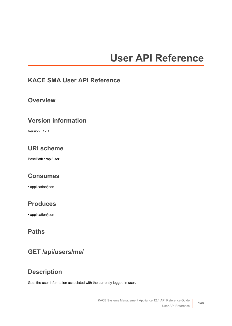# **User API Reference**

#### **KACE SMA User API Reference**

#### **Overview**

#### **Version information**

Version : 12.1

## **URI scheme**

BasePath : /api/user

#### **Consumes**

• application/json

#### **Produces**

• application/json

#### **Paths**

#### **GET /api/users/me/**

#### **Description**

Gets the user information associated with the currently logged in user.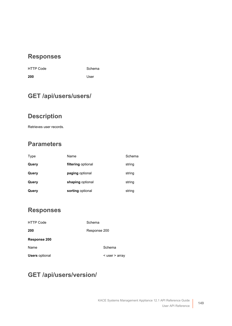| <b>HTTP Code</b> | Sche |
|------------------|------|
| 200              | User |

de Schema

## **GET /api/users/users/**

## **Description**

Retrieves user records.

## **Parameters**

| Type  | Name               | Schema |
|-------|--------------------|--------|
| Query | filtering optional | string |
| Query | paging optional    | string |
| Query | shaping optional   | string |
| Query | sorting optional   | string |

#### **Responses**

<span id="page-148-0"></span>

| <b>HTTP Code</b>      | Schema             |
|-----------------------|--------------------|
| 200                   | Response 200       |
| Response 200          |                    |
| Name                  | Schema             |
| <b>Users</b> optional | $<$ user $>$ array |

## **GET /api/users/version/**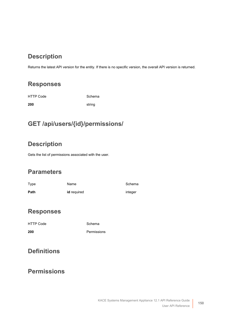## **Description**

Returns the latest API version for the entity. If there is no specific version, the overall API version is returned.

#### **Responses**

| <b>HTTP Code</b> | Schema |
|------------------|--------|
| 200              | string |

## **GET /api/users/{id}/permissions/**

## **Description**

Gets the list of permissions associated with the user.

#### **Parameters**

| Type | Name               | Schema  |
|------|--------------------|---------|
| Path | <b>id</b> required | integer |

#### **Responses**

| 200 | Permissions |
|-----|-------------|

#### **Definitions**

#### <span id="page-149-0"></span>**Permissions**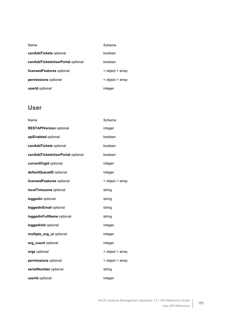| Name                             | Schema           |
|----------------------------------|------------------|
| canAddTickets optional           | boolean          |
| canAddTicketsUserPortal optional | boolean          |
| licensed Features optional       | < object > array |
| permissions optional             | < object > array |
| userId optional                  | integer          |

#### <span id="page-150-0"></span>**User**

| Name                             | Schema           |
|----------------------------------|------------------|
| <b>RESTAPIVersion optional</b>   | integer          |
| apiEnabled optional              | boolean          |
| canAddTickets optional           | boolean          |
| canAddTicketsUserPortal optional | boolean          |
| currentOrgId optional            | integer          |
| defaultQueueID optional          | integer          |
| licensedFeatures optional        | < object > array |
| localTimezone optional           | string           |
| loggedin optional                | string           |
| loggedinEmail optional           | string           |
| loggedinFullName optional        | string           |
| loggedinld optional              | integer          |
| multiple_org_ui optional         | integer          |
| org_count optional               | integer          |
| orgs optional                    | < object > array |
| permissions optional             | < object > array |
| serialNumber optional            | string           |
| userId optional                  | integer          |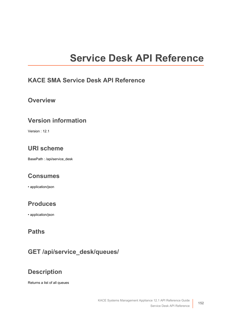# **Service Desk API Reference**

#### <span id="page-151-0"></span>**KACE SMA Service Desk API Reference**

#### **Overview**

#### **Version information**

Version : 12.1

#### **URI scheme**

BasePath : /api/service\_desk

#### **Consumes**

• application/json

#### **Produces**

• application/json

#### **Paths**

#### **GET /api/service\_desk/queues/**

#### **Description**

Returns a list of all queues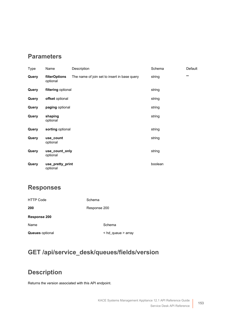#### **Parameters**

| Type  | Name                             | Description                                  | Schema  | Default |
|-------|----------------------------------|----------------------------------------------|---------|---------|
| Query | <b>filterOptions</b><br>optional | The name of join set to insert in base query | string  | ,,,,    |
| Query | filtering optional               |                                              | string  |         |
| Query | offset optional                  |                                              | string  |         |
| Query | paging optional                  |                                              | string  |         |
| Query | shaping<br>optional              |                                              | string  |         |
| Query | sorting optional                 |                                              | string  |         |
| Query | use_count<br>optional            |                                              | string  |         |
| Query | use_count_only<br>optional       |                                              | string  |         |
| Query | use_pretty_print<br>optional     |                                              | boolean |         |

#### **Responses**

<span id="page-152-0"></span>

| <b>HTTP Code</b>       | Schema                       |  |
|------------------------|------------------------------|--|
| 200                    | Response 200                 |  |
| Response 200           |                              |  |
| Name                   | Schema                       |  |
| <b>Queues</b> optional | $\leq$ hd queue $\geq$ array |  |

## **GET /api/service\_desk/queues/fields/version**

## **Description**

Returns the version associated with this API endpoint.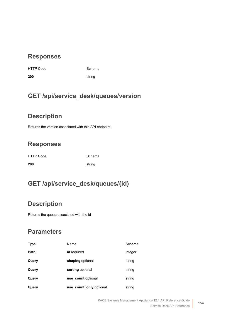|  | HTTP Cod |  |
|--|----------|--|
|  |          |  |

e Schema

**200** string

## **GET /api/service\_desk/queues/version**

#### **Description**

Returns the version associated with this API endpoint.

## **Responses**

| <b>HTTP Code</b> | Schema |
|------------------|--------|
| 200              | string |

## **GET /api/service\_desk/queues/{id}**

## **Description**

Returns the queue associated with the id

| Type  | Name                    | Schema  |
|-------|-------------------------|---------|
| Path  | id required             | integer |
| Query | shaping optional        | string  |
| Query | sorting optional        | string  |
| Query | use count optional      | string  |
| Query | use_count_only optional | string  |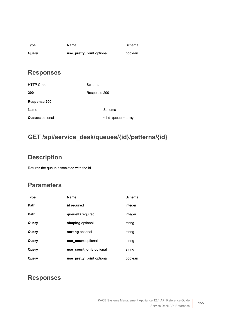| Type  | Name                      | Schema  |
|-------|---------------------------|---------|
| Query | use_pretty_print optional | boolean |

<span id="page-154-0"></span>

| <b>HTTP Code</b>       | Schema             |  |
|------------------------|--------------------|--|
| 200                    | Response 200       |  |
| Response 200           |                    |  |
| Name                   | Schema             |  |
| <b>Queues</b> optional | < hd_queue > array |  |

## **GET /api/service\_desk/queues/{id}/patterns/{id}**

#### **Description**

Returns the queue associated with the id

#### **Parameters**

| Type  | Name                      | Schema  |
|-------|---------------------------|---------|
| Path  | <b>id</b> required        | integer |
| Path  | queuelD required          | integer |
| Query | shaping optional          | string  |
| Query | sorting optional          | string  |
| Query | use count optional        | string  |
| Query | use_count_only optional   | string  |
| Query | use_pretty_print optional | boolean |

#### **Responses**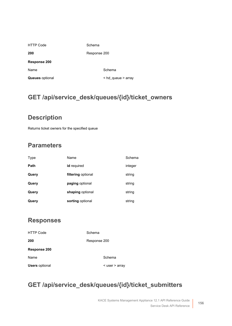<span id="page-155-0"></span>

| <b>HTTP Code</b>       | Schema                       |  |
|------------------------|------------------------------|--|
| 200                    | Response 200                 |  |
| Response 200           |                              |  |
| Name                   | Schema                       |  |
| <b>Queues</b> optional | $\leq$ hd queue $\geq$ array |  |

## **GET /api/service\_desk/queues/{id}/ticket\_owners**

#### **Description**

Returns ticket owners for the specified queue

### **Parameters**

| Type  | Name               | Schema  |
|-------|--------------------|---------|
| Path  | id required        | integer |
| Query | filtering optional | string  |
| Query | paging optional    | string  |
| Query | shaping optional   | string  |
| Query | sorting optional   | string  |

#### **Responses**

<span id="page-155-1"></span>

| <b>HTTP Code</b>      | Schema             |
|-----------------------|--------------------|
| 200                   | Response 200       |
| Response 200          |                    |
| Name                  | Schema             |
| <b>Users</b> optional | $<$ user $>$ array |

## **GET /api/service\_desk/queues/{id}/ticket\_submitters**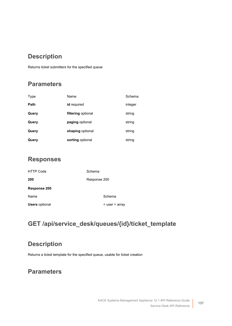#### **Description**

Returns ticket submitters for the specified queue

#### **Parameters**

| Type  | Name               | Schema  |
|-------|--------------------|---------|
| Path  | id required        | integer |
| Query | filtering optional | string  |
| Query | paging optional    | string  |
| Query | shaping optional   | string  |
| Query | sorting optional   | string  |

#### **Responses**

<span id="page-156-0"></span>

| <b>HTTP Code</b>      | Schema             |
|-----------------------|--------------------|
| 200                   | Response 200       |
| <b>Response 200</b>   |                    |
| Name                  | Schema             |
| <b>Users</b> optional | $<$ user $>$ array |

## **GET /api/service\_desk/queues/{id}/ticket\_template**

#### **Description**

Returns a ticket template for the specified queue, usable for ticket creation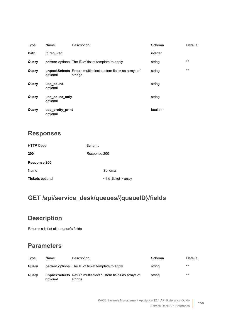| Type  | Name                         | Description                                                            | Schema  | Default  |
|-------|------------------------------|------------------------------------------------------------------------|---------|----------|
| Path  | id required                  |                                                                        | integer |          |
| Query |                              | <b>pattern</b> optional The ID of ticket template to apply             | string  | $\cdots$ |
| Query | optional                     | unpackSelects Return multiselect custom fields as arrays of<br>strings | string  | 1111     |
| Query | use count<br>optional        |                                                                        | string  |          |
| Query | use count only<br>optional   |                                                                        | string  |          |
| Query | use pretty print<br>optional |                                                                        | boolean |          |

<span id="page-157-0"></span>

| <b>HTTP Code</b>        | Schema              |
|-------------------------|---------------------|
| 200                     | Response 200        |
| Response 200            |                     |
| Name                    | Schema              |
| <b>Tickets optional</b> | < hd_ticket > array |

## **GET /api/service\_desk/queues/{queueID}/fields**

## **Description**

Returns a list of all a queue's fields

| Type  | Name     | Description                                                                   | Schema | Default |
|-------|----------|-------------------------------------------------------------------------------|--------|---------|
| Querv |          | <b>pattern</b> optional The ID of ticket template to apply                    | string | ,,,,    |
| Querv | optional | <b>unpackSelects</b> Return multiselect custom fields as arrays of<br>strings | string | ,,,,    |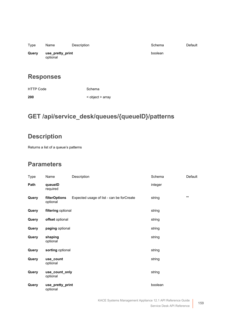| Type  | Name                         | Description | Schema  | Default |
|-------|------------------------------|-------------|---------|---------|
| Query | use_pretty_print<br>optional |             | boolean |         |

| HTTP Code | Schema           |
|-----------|------------------|
| 200       | < object > array |

## **GET /api/service\_desk/queues/{queueID}/patterns**

## **Description**

Returns a list of a queue's patterns

| Type  | Name                         | Description                               | Schema  | Default      |
|-------|------------------------------|-------------------------------------------|---------|--------------|
| Path  | queuelD<br>required          |                                           | integer |              |
| Query | filterOptions<br>optional    | Expected usage of list - can be forCreate | string  | $\mathbf{m}$ |
| Query | filtering optional           |                                           | string  |              |
| Query | offset optional              |                                           | string  |              |
| Query | paging optional              |                                           | string  |              |
| Query | shaping<br>optional          |                                           | string  |              |
| Query | sorting optional             |                                           | string  |              |
| Query | use_count<br>optional        |                                           | string  |              |
| Query | use_count_only<br>optional   |                                           | string  |              |
| Query | use_pretty_print<br>optional |                                           | boolean |              |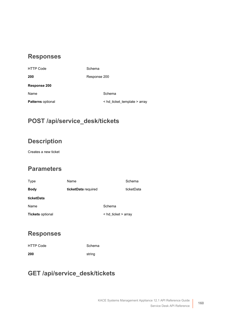<span id="page-159-0"></span>

| Response 200                 |
|------------------------------|
|                              |
| Schema                       |
| < hd_ticket_template > array |
|                              |

#### **POST /api/service\_desk/tickets**

#### **Description**

Creates a new ticket

#### **Parameters**

<span id="page-159-1"></span>

| Type                    | Name                |                          | Schema     |
|-------------------------|---------------------|--------------------------|------------|
| <b>Body</b>             | ticketData required |                          | ticketData |
| ticketData              |                     |                          |            |
| Name                    |                     | Schema                   |            |
| <b>Tickets optional</b> |                     | $\leq$ hd_ticket > array |            |

#### **Responses**

HTTP Code Schema **200** string

## **GET /api/service\_desk/tickets**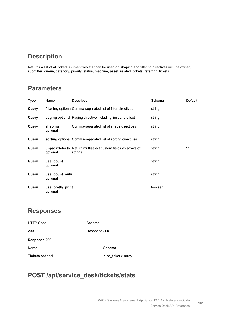## **Description**

Returns a list of all tickets. Sub-entities that can be used on shaping and filtering directives include owner, submitter, queue, category, priority, status, machine, asset, related\_tickets, referring\_tickets

#### **Parameters**

| Type  | Name                         | Description                                                                   | Schema  | Default      |
|-------|------------------------------|-------------------------------------------------------------------------------|---------|--------------|
| Query |                              | filtering optional Comma-separated list of filter directives                  | string  |              |
| Query |                              | <b>paging</b> optional Paging directive including limit and offset            | string  |              |
| Query | shaping<br>optional          | Comma-separated list of shape directives                                      | string  |              |
| Query |                              | sorting optional Comma-separated list of sorting directives                   | string  |              |
| Query | optional                     | <b>unpackSelects</b> Return multiselect custom fields as arrays of<br>strings | string  | $\mathbf{m}$ |
| Query | use_count<br>optional        |                                                                               | string  |              |
| Query | use count only<br>optional   |                                                                               | string  |              |
| Query | use pretty print<br>optional |                                                                               | boolean |              |

#### **Responses**

<span id="page-160-0"></span>

| <b>HTTP Code</b>        | Schema                   |
|-------------------------|--------------------------|
| 200                     | Response 200             |
| Response 200            |                          |
| Name                    | Schema                   |
| <b>Tickets optional</b> | $\leq$ hd_ticket > array |

#### **POST /api/service\_desk/tickets/stats**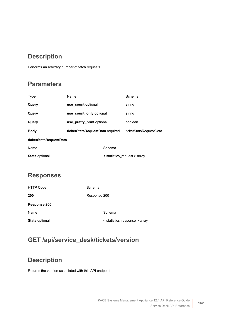## **Description**

Performs an arbitrary number of fetch requests

#### **Parameters**

| Type                   | Name                            |                              | Schema                 |
|------------------------|---------------------------------|------------------------------|------------------------|
| Query                  | use_count optional              |                              | string                 |
| Query                  | use count only optional         |                              | string                 |
| Query                  | use pretty print optional       |                              | boolean                |
| <b>Body</b>            | ticketStatsRequestData required |                              | ticketStatsRequestData |
| ticketStatsRequestData |                                 |                              |                        |
| Name                   |                                 | Schema                       |                        |
| <b>Stats optional</b>  |                                 | < statistics_request > array |                        |

#### <span id="page-161-0"></span>**Responses**

<span id="page-161-1"></span>

| <b>HTTP Code</b>      | Schema                        |
|-----------------------|-------------------------------|
| 200                   | Response 200                  |
| Response 200          |                               |
| Name                  | Schema                        |
| <b>Stats optional</b> | < statistics_response > array |

## **GET /api/service\_desk/tickets/version**

## **Description**

Returns the version associated with this API endpoint.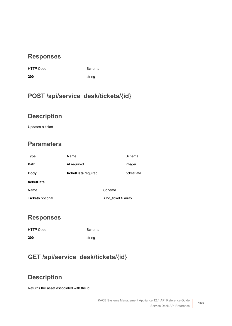|  | HTTP Cod |
|--|----------|
|  |          |

de **Schema** 

**200** string

## **POST /api/service\_desk/tickets/{id}**

#### **Description**

Updates a ticket

## **Parameters**

<span id="page-162-0"></span>

| Type                    | Name                |                     | Schema     |
|-------------------------|---------------------|---------------------|------------|
| Path                    | id required         |                     | integer    |
| <b>Body</b>             | ticketData required |                     | ticketData |
| ticketData              |                     |                     |            |
| Name                    |                     | Schema              |            |
| <b>Tickets optional</b> |                     | < hd_ticket > array |            |

#### **Responses**

| <b>HTTP Code</b> | Schema |
|------------------|--------|
| 200              | string |

## **GET /api/service\_desk/tickets/{id}**

## **Description**

Returns the asset associated with the id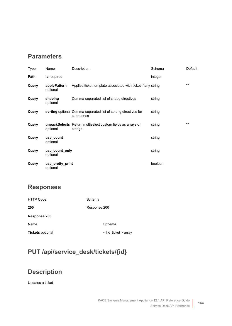#### **Parameters**

| Type  | Name                         | Description                                                                   | Schema  | Default      |
|-------|------------------------------|-------------------------------------------------------------------------------|---------|--------------|
| Path  | id required                  |                                                                               | integer |              |
| Query | applyPattern<br>optional     | Applies ticket template associated with ticket if any string                  |         | $\mathbf{m}$ |
| Query | shaping<br>optional          | Comma-separated list of shape directives                                      | string  |              |
| Query |                              | sorting optional Comma-separated list of sorting directives for<br>subqueries | string  |              |
| Query | optional                     | unpackSelects Return multiselect custom fields as arrays of<br>strings        | string  | $\mathbf{m}$ |
| Query | use count<br>optional        |                                                                               | string  |              |
| Query | use_count_only<br>optional   |                                                                               | string  |              |
| Query | use pretty print<br>optional |                                                                               | boolean |              |

#### **Responses**

<span id="page-163-0"></span>

| <b>HTTP Code</b>        | Schema                        |
|-------------------------|-------------------------------|
| 200                     | Response 200                  |
| Response 200            |                               |
| Name                    | Schema                        |
| <b>Tickets optional</b> | $\leq$ hd ticket $\geq$ array |

## **PUT /api/service\_desk/tickets/{id}**

## **Description**

Updates a ticket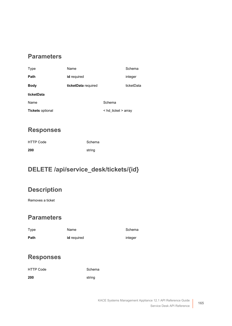#### **Parameters**

<span id="page-164-0"></span>

| Type                    | Name                |                     | Schema     |
|-------------------------|---------------------|---------------------|------------|
| Path                    | id required         |                     | integer    |
| <b>Body</b>             | ticketData required |                     | ticketData |
| ticketData              |                     |                     |            |
| Name                    |                     | Schema              |            |
| <b>Tickets optional</b> |                     | < hd_ticket > array |            |

#### **Responses**

| <b>HTTP Code</b> | Schema |
|------------------|--------|
| 200              | string |

## **DELETE /api/service\_desk/tickets/{id}**

#### **Description**

Removes a ticket

#### **Parameters**

| Type | Name               | Schema  |
|------|--------------------|---------|
| Path | <b>id</b> required | integer |

#### **Responses**

| HTTP Code | Schema |
|-----------|--------|
| 200       | string |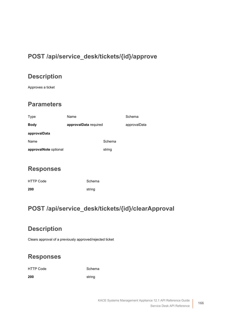## **POST /api/service\_desk/tickets/{id}/approve**

## **Description**

Approves a ticket

#### **Parameters**

<span id="page-165-0"></span>

| Type                  | Name                  |        | Schema       |
|-----------------------|-----------------------|--------|--------------|
| <b>Body</b>           | approvalData required |        | approvalData |
| approvalData          |                       |        |              |
| Name                  |                       | Schema |              |
| approvalNote optional |                       | string |              |

#### **Responses**

| <b>HTTP Code</b> | Schema |
|------------------|--------|
| 200              | string |

## **POST /api/service\_desk/tickets/{id}/clearApproval**

## **Description**

Clears approval of a previously approved/rejected ticket

## **Responses**

HTTP Code Schema

**200** string

KACE Systems Management Appliance 12.1 API Reference Guide Service Desk API Reference **166**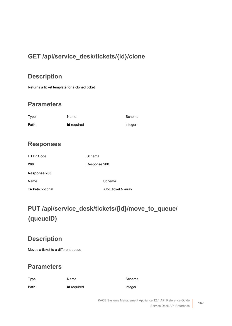## **GET /api/service\_desk/tickets/{id}/clone**

#### **Description**

Returns a ticket template for a cloned ticket

#### **Parameters**

| Type | Name               | Schema  |
|------|--------------------|---------|
| Path | <b>id</b> required | integer |

#### **Responses**

<span id="page-166-0"></span>

| HTTP Code               | Schema              |
|-------------------------|---------------------|
| 200                     | Response 200        |
| <b>Response 200</b>     |                     |
| Name                    | Schema              |
| <b>Tickets optional</b> | < hd_ticket > array |

# **PUT /api/service\_desk/tickets/{id}/move\_to\_queue/ {queueID}**

## **Description**

Moves a ticket to a different queue

#### **Parameters**

Type **Name** Name Schema

**Path id** required **identified** integer

KACE Systems Management Appliance 12.1 API Reference Guide Service Desk API Reference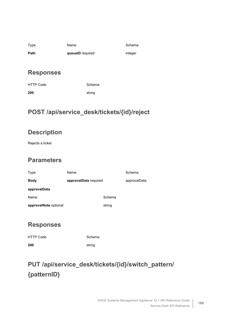| Type | Name             | Schem   |
|------|------------------|---------|
| Path | queuelD required | integer |

Schema

#### **Responses**

| HTTP Code | Schema |
|-----------|--------|
| 200       | string |

## **POST /api/service\_desk/tickets/{id}/reject**

## **Description**

Rejects a ticket

#### **Parameters**

<span id="page-167-0"></span>

| Type                  | Name                  |        | Schema       |
|-----------------------|-----------------------|--------|--------------|
| <b>Body</b>           | approvalData required |        | approvalData |
| approvalData          |                       |        |              |
| Name                  |                       | Schema |              |
| approvalNote optional |                       | string |              |

#### **Responses**

| <b>HTTP Code</b> | Schema |
|------------------|--------|
| 200              | string |

# **PUT /api/service\_desk/tickets/{id}/switch\_pattern/ {patternID}**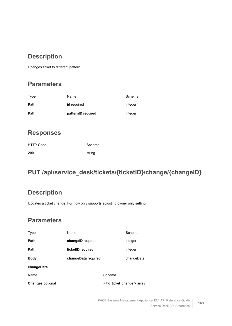## **Description**

Changes ticket to different pattern

#### **Parameters**

| Path | patternID required | integer |
|------|--------------------|---------|
| Path | id required        | integer |
| Type | Name               | Schema  |

#### **Responses**

| <b>HTTP Code</b> | Schema |
|------------------|--------|
| 200              | string |

## **PUT /api/service\_desk/tickets/{ticketID}/change/{changeID}**

#### **Description**

Updates a ticket change. For now only supports adjusting owner only setting.

<span id="page-168-0"></span>

| Type                    | Name                |                                      | Schema     |
|-------------------------|---------------------|--------------------------------------|------------|
| Path                    | changelD required   |                                      | integer    |
| Path                    | ticketID required   |                                      | integer    |
| <b>Body</b>             | changeData required |                                      | changeData |
| changeData              |                     |                                      |            |
| Name                    |                     | Schema                               |            |
| <b>Changes</b> optional |                     | $\leq$ hd ticket change $\geq$ array |            |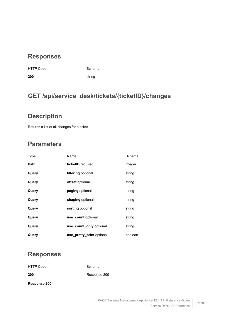| <b>HTTP Code</b> | Scher  |
|------------------|--------|
| 200              | string |

e Schema

## **GET /api/service\_desk/tickets/{ticketID}/changes**

#### **Description**

Returns a list of all changes for a ticket

## **Parameters**

| Type  | Name                      | Schema  |
|-------|---------------------------|---------|
| Path  | ticketID required         | integer |
| Query | filtering optional        | string  |
| Query | offset optional           | string  |
| Query | paging optional           | string  |
| Query | shaping optional          | string  |
| Query | sorting optional          | string  |
| Query | use count optional        | string  |
| Query | use count only optional   | string  |
| Query | use_pretty_print optional | boolean |

#### **Responses**

HTTP Code Schema

**200** [Response 200](#page-169-0)

<span id="page-169-0"></span>**Response 200**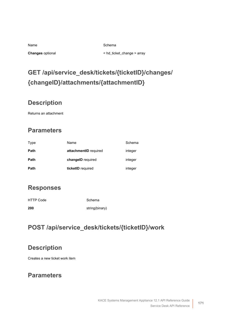| Name             |
|------------------|
| Changes optional |

Schema

**Changes** optional < [hd\\_ticket\\_change](#page-178-0) > array

# **GET /api/service\_desk/tickets/{ticketID}/changes/ {changeID}/attachments/{attachmentID}**

## **Description**

Returns an attachment

## **Parameters**

| Type | Name                  | Schema  |
|------|-----------------------|---------|
| Path | attachmentID required | integer |
| Path | changelD required     | integer |
| Path | ticketID required     | integer |

#### **Responses**

| <b>HTTP Code</b> | Schema         |
|------------------|----------------|
| 200              | string(binary) |

## **POST /api/service\_desk/tickets/{ticketID}/work**

#### **Description**

Creates a new ticket work item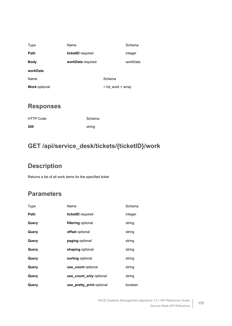<span id="page-171-0"></span>

| Type                 | Name              |                       | Schema   |
|----------------------|-------------------|-----------------------|----------|
| Path                 | ticketID required |                       | integer  |
| <b>Body</b>          | workData required |                       | workData |
| workData             |                   |                       |          |
| Name                 |                   | Schema                |          |
| <b>Work optional</b> |                   | $<$ hd work $>$ array |          |

| HTTP Code | Schema |
|-----------|--------|
| 200       | string |

## **GET /api/service\_desk/tickets/{ticketID}/work**

## **Description**

Returns a list of all work items for the specified ticket

| Type  | Name                      | Schema  |
|-------|---------------------------|---------|
| Path  | ticketID required         | integer |
| Query | filtering optional        | string  |
| Query | offset optional           | string  |
| Query | paging optional           | string  |
| Query | shaping optional          | string  |
| Query | sorting optional          | string  |
| Query | use count optional        | string  |
| Query | use count only optional   | string  |
| Query | use_pretty_print optional | boolean |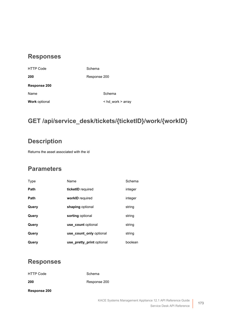<span id="page-172-0"></span>

| <b>HTTP Code</b>     | Schema            |
|----------------------|-------------------|
| 200                  | Response 200      |
| Response 200         |                   |
| Name                 | Schema            |
| <b>Work optional</b> | < hd_work > array |
|                      |                   |

## **GET /api/service\_desk/tickets/{ticketID}/work/{workID}**

#### **Description**

Returns the asset associated with the id

#### **Parameters**

| Type  | Name                      | Schema  |
|-------|---------------------------|---------|
| Path  | ticketID required         | integer |
| Path  | workID required           | integer |
| Query | shaping optional          | string  |
| Query | sorting optional          | string  |
| Query | use count optional        | string  |
| Query | use count only optional   | string  |
| Query | use_pretty_print optional | boolean |

#### **Responses**

<span id="page-172-1"></span>

| <b>HTTP Code</b> | Schema       |
|------------------|--------------|
| 200              | Response 200 |
| Response 200     |              |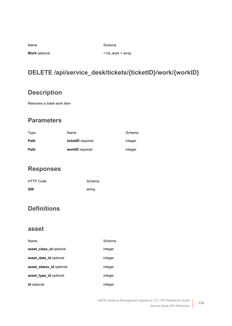| Schema |
|--------|
|        |

Name

**Work** optional < [hd\\_work](#page-179-1) > array

## **DELETE /api/service\_desk/tickets/{ticketID}/work/{workID}**

#### **Description**

Removes a ticket work item

#### **Parameters**

| Type | Name              | Schema  |
|------|-------------------|---------|
| Path | ticketID required | integer |
| Path | workID required   | integer |

#### **Responses**

| <b>HTTP Code</b> | Schema |
|------------------|--------|
| 200              | string |

## **Definitions**

#### **asset**

| Name                     | Schema  |
|--------------------------|---------|
| asset class id optional  | integer |
| asset data id optional   | integer |
| asset status id optional | integer |
| asset type id optional   | integer |
| id optional              | integer |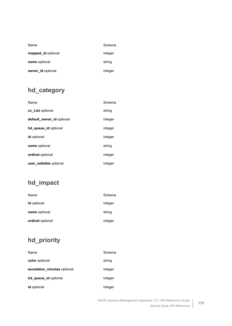| Name               | Schema  |
|--------------------|---------|
| mapped_id optional | integer |
| name optional      | string  |
| owner id optional  | integer |

## <span id="page-174-0"></span>**hd\_category**

| Name                      | Schema  |
|---------------------------|---------|
| cc List optional          | string  |
| default_owner_id optional | integer |
| hd queue id optional      | integer |
| <b>id</b> optional        | integer |
| name optional             | string  |
| <b>ordinal</b> optional   | integer |
| user settable optional    | integer |

## <span id="page-174-1"></span>**hd\_impact**

| Name                    | Schema  |
|-------------------------|---------|
| <b>id</b> optional      | integer |
| name optional           | string  |
| <b>ordinal</b> optional | integer |

## <span id="page-174-2"></span>**hd\_priority**

| Name                        | Schema  |
|-----------------------------|---------|
| color optional              | string  |
| escalation_minutes optional | integer |
| hd_queue_id optional        | integer |
| id optional                 | integer |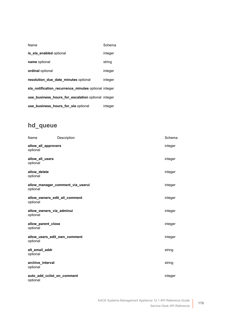| Name                                                 | Schema  |
|------------------------------------------------------|---------|
| is sla enabled optional                              | integer |
| name optional                                        | string  |
| <b>ordinal</b> optional                              | integer |
| resolution_due_date_minutes optional                 | integer |
| sla notification recurrence minutes optional integer |         |
| use business hours for escalation optional integer   |         |
| use_business_hours_for_sla optional                  | integer |

## <span id="page-175-0"></span>**hd\_queue**

| Name                                      | Description                      | Schema  |
|-------------------------------------------|----------------------------------|---------|
| allow_all_approvers<br>optional           |                                  | integer |
| allow_all_users<br>optional               |                                  | integer |
| allow_delete<br>optional                  |                                  | integer |
| optional                                  | allow_manager_comment_via_userui | integer |
| allow owners edit all comment<br>optional |                                  | integer |
| allow_owners_via_adminui<br>optional      |                                  | integer |
| allow_parent_close<br>optional            |                                  | integer |
| allow_users_edit_own_comment<br>optional  |                                  | integer |
| alt_email_addr<br>optional                |                                  | string  |
| archive_interval<br>optional              |                                  | string  |
| auto add cclist on comment<br>optional    |                                  | integer |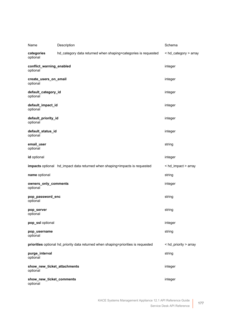| Name                                    | Description                                                                        | Schema                |
|-----------------------------------------|------------------------------------------------------------------------------------|-----------------------|
| categories<br>optional                  | hd_category data returned when shaping=categories is requested                     | < hd_category > array |
| conflict_warning_enabled<br>optional    |                                                                                    | integer               |
| create_users_on_email<br>optional       |                                                                                    | integer               |
| default_category_id<br>optional         |                                                                                    | integer               |
| default_impact_id<br>optional           |                                                                                    | integer               |
| default_priority_id<br>optional         |                                                                                    | integer               |
| default_status_id<br>optional           |                                                                                    | integer               |
| email_user<br>optional                  |                                                                                    | string                |
| id optional                             |                                                                                    | integer               |
|                                         | impacts optional hd_impact data returned when shaping=impacts is requested         | < hd_impact > array   |
| name optional                           |                                                                                    | string                |
| owners_only_comments<br>optional        |                                                                                    | integer               |
| pop_password_enc<br>optional            |                                                                                    | string                |
| pop_server<br>optional                  |                                                                                    | string                |
| pop_ssl optional                        |                                                                                    | integer               |
| pop_username<br>optional                |                                                                                    | string                |
|                                         | priorities optional hd_priority data returned when shaping=priorities is requested | < hd_priority > array |
| purge_interval<br>optional              |                                                                                    | string                |
| show_new_ticket_attachments<br>optional |                                                                                    | integer               |
| show_new_ticket_comments<br>optional    |                                                                                    | integer               |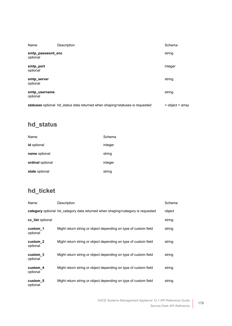| Name                          | Description                                                                  | Schema           |
|-------------------------------|------------------------------------------------------------------------------|------------------|
| smtp_password_enc<br>optional |                                                                              | string           |
| smtp_port<br>optional         |                                                                              | integer          |
| smtp server<br>optional       |                                                                              | string           |
| smtp username<br>optional     |                                                                              | string           |
|                               | statuses optional hd_status data returned when shaping=statuses is requested | < object > array |

## **hd\_status**

| Name               | Schema  |
|--------------------|---------|
| <b>id</b> optional | integer |
| name optional      | string  |
| ordinal optional   | integer |
| state optional     | string  |

## <span id="page-177-0"></span>**hd\_ticket**

| Name                 | Description                                                                    | Schema |
|----------------------|--------------------------------------------------------------------------------|--------|
|                      | category optional hd_category data returned when shaping=category is requested | object |
| cc list optional     |                                                                                | string |
| custom 1<br>optional | Might return string or object depending on type of custom field                | string |
| custom 2<br>optional | Might return string or object depending on type of custom field                | string |
| custom 3<br>optional | Might return string or object depending on type of custom field                | string |
| custom 4<br>optional | Might return string or object depending on type of custom field                | string |
| custom 5<br>optional | Might return string or object depending on type of custom field                | string |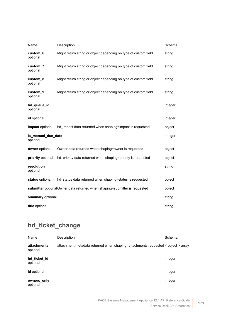| Name                                                                       | Description                                                     | Schema  |
|----------------------------------------------------------------------------|-----------------------------------------------------------------|---------|
| custom 6<br>optional                                                       | Might return string or object depending on type of custom field | string  |
| custom 7<br>optional                                                       | Might return string or object depending on type of custom field | string  |
| custom 8<br>optional                                                       | Might return string or object depending on type of custom field | string  |
| custom_9<br>optional                                                       | Might return string or object depending on type of custom field | string  |
| hd_queue_id<br>optional                                                    |                                                                 | integer |
| id optional                                                                |                                                                 | integer |
| impact optional                                                            | hd_impact data returned when shaping=impact is requested        | object  |
| is_manual_due_date<br>optional                                             |                                                                 | integer |
| owner optional                                                             | Owner data returned when shaping=owner is requested             | object  |
| priority optional                                                          | hd_priority data returned when shaping=priority is requested    | object  |
| resolution<br>optional                                                     |                                                                 | string  |
| status optional                                                            | hd_status data returned when shaping=status is requested        | object  |
| submitter optional Owner data returned when shaping=submitter is requested |                                                                 | object  |
| summary optional                                                           |                                                                 | string  |
| title optional                                                             |                                                                 |         |

## <span id="page-178-0"></span>**hd\_ticket\_change**

| Name                     | Description                                                                      | Schema  |
|--------------------------|----------------------------------------------------------------------------------|---------|
| attachments<br>optional  | attachment metadata returned when shaping=attachments requested < object > array |         |
| hd ticket id<br>optional |                                                                                  | integer |
| <b>id</b> optional       |                                                                                  | integer |
| owners_only<br>optional  |                                                                                  | integer |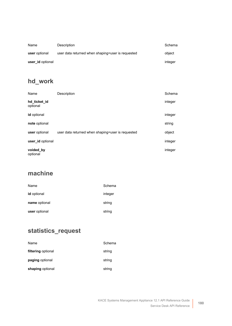| Name             | Description                                       | Schema  |
|------------------|---------------------------------------------------|---------|
| user optional    | user data returned when shaping=user is requested | object  |
| user id optional |                                                   | integer |

## <span id="page-179-1"></span>**hd\_work**

| Name                     | Description                                       | Schema  |
|--------------------------|---------------------------------------------------|---------|
| hd_ticket_id<br>optional |                                                   | integer |
| id optional              |                                                   | integer |
| note optional            |                                                   | string  |
| user optional            | user data returned when shaping=user is requested | object  |
| user_id optional         |                                                   | integer |
| voided_by<br>optional    |                                                   | integer |

## **machine**

| Name               | Schema  |
|--------------------|---------|
| <b>id</b> optional | integer |
| name optional      | string  |
| user optional      | string  |

## <span id="page-179-0"></span>**statistics\_request**

| Name               | Schema |
|--------------------|--------|
| filtering optional | string |
| paging optional    | string |
| shaping optional   | string |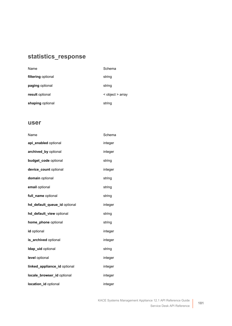### **statistics\_response**

| Name               | Schema           |
|--------------------|------------------|
| filtering optional | string           |
| paging optional    | string           |
| result optional    | < object > array |
| shaping optional   | string           |

### **user**

| Name                         | Schema  |
|------------------------------|---------|
| api_enabled optional         | integer |
| archived_by optional         | integer |
| budget_code optional         | string  |
| device_count optional        | integer |
| domain optional              | string  |
| email optional               | string  |
| full_name optional           | string  |
| hd_default_queue_id optional | integer |
| hd_default_view optional     | string  |
| home_phone optional          | string  |
| id optional                  | integer |
| is_archived optional         | integer |
| Idap_uid optional            | string  |
| level optional               | integer |
| linked_appliance_id optional | integer |
| locale_browser_id optional   | integer |
| location id optional         | integer |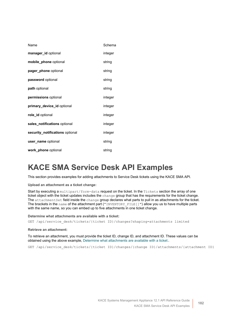| Name                            | Schema  |
|---------------------------------|---------|
| manager_id optional             | integer |
| mobile_phone optional           | string  |
| pager phone optional            | string  |
| password optional               | string  |
| path optional                   | string  |
| permissions optional            | integer |
| primary_device_id optional      | integer |
| role id optional                | integer |
| sales_notifications optional    | integer |
| security_notifications optional | integer |
| user name optional              | string  |
| work phone optional             | string  |

### **KACE SMA Service Desk API Examples**

This section provides examples for adding attachments to Service Desk tickets using the KACE SMA API.

**Upload an attachment as a ticket change:**

Start by executing a multipart/form-data request on the ticket. In the Tickets section the array of one ticket object with the ticket updates includes the change group that has the requirements for the ticket change. The attachmentSet field inside the change group declares what parts to pull in as attachments for the ticket. The brackets in the name of the attachment part ("INVENTORY\_FILE[]") allow you us to have multiple parts with the same name, so you can embed up to five attachments in one ticket change.

<span id="page-181-0"></span>**Determine what attachments are available with a ticket:**

GET /api/service desk/tickets/{ticket ID}/changes?shaping=attachments limited

**Retrieve an attachment:**

To retrieve an attachment, you must provide the ticket ID, change ID, and attachment ID. These values can be obtained using the above example, [Determine what attachments are available with a ticket:.](#page-181-0)

GET /api/service desk/tickets/{ticket ID}/changes/{change ID}/attachments/{attachment ID}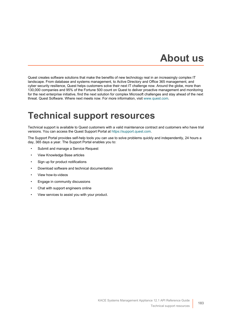# **About us**

Quest creates software solutions that make the benefits of new technology real in an increasingly complex IT landscape. From database and systems management, to Active Directory and Office 365 management, and cyber security resilience, Quest helps customers solve their next IT challenge now. Around the globe, more than 130,000 companies and 95% of the Fortune 500 count on Quest to deliver proactive management and monitoring for the next enterprise initiative, find the next solution for complex Microsoft challenges and stay ahead of the next threat. Quest Software. Where next meets now. For more information, visit [www.quest.com.](https://www.quest.com/company/contact-us.aspx)

### **Technical support resources**

Technical support is available to Quest customers with a valid maintenance contract and customers who have trial versions. You can access the Quest Support Portal at [https://support.quest.com.](https://support.quest.com/)

The Support Portal provides self-help tools you can use to solve problems quickly and independently, 24 hours a day, 365 days a year. The Support Portal enables you to:

- Submit and manage a Service Request
- View Knowledge Base articles
- Sign up for product notifications
- Download software and technical documentation
- View how-to-videos
- Engage in community discussions
- Chat with support engineers online
- View services to assist you with your product.

**183**